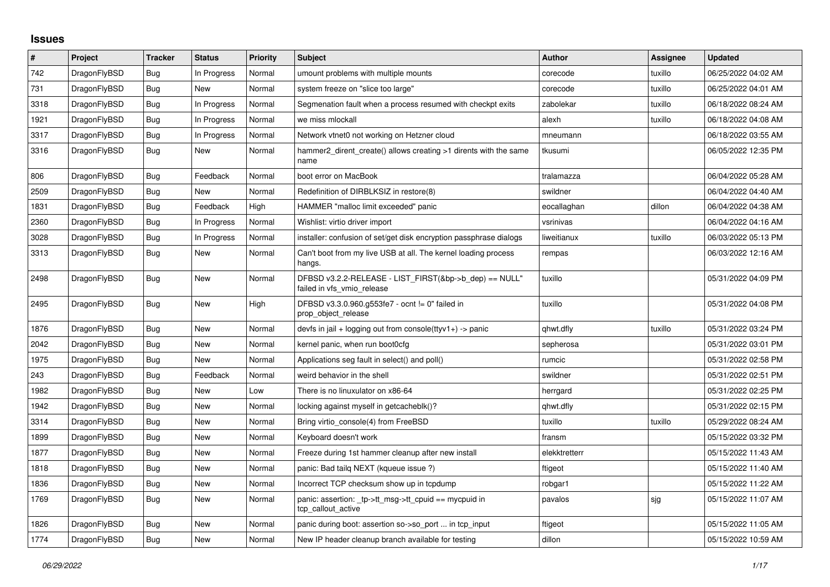## **Issues**

| $\sharp$ | Project      | <b>Tracker</b> | <b>Status</b> | Priority | <b>Subject</b>                                                                       | <b>Author</b> | Assignee | <b>Updated</b>      |
|----------|--------------|----------------|---------------|----------|--------------------------------------------------------------------------------------|---------------|----------|---------------------|
| 742      | DragonFlyBSD | <b>Bug</b>     | In Progress   | Normal   | umount problems with multiple mounts                                                 | corecode      | tuxillo  | 06/25/2022 04:02 AM |
| 731      | DragonFlyBSD | Bug            | <b>New</b>    | Normal   | system freeze on "slice too large"                                                   | corecode      | tuxillo  | 06/25/2022 04:01 AM |
| 3318     | DragonFlyBSD | Bug            | In Progress   | Normal   | Segmenation fault when a process resumed with checkpt exits                          | zabolekar     | tuxillo  | 06/18/2022 08:24 AM |
| 1921     | DragonFlyBSD | <b>Bug</b>     | In Progress   | Normal   | we miss mlockall                                                                     | alexh         | tuxillo  | 06/18/2022 04:08 AM |
| 3317     | DragonFlyBSD | Bug            | In Progress   | Normal   | Network vtnet0 not working on Hetzner cloud                                          | mneumann      |          | 06/18/2022 03:55 AM |
| 3316     | DragonFlyBSD | <b>Bug</b>     | New           | Normal   | hammer2_dirent_create() allows creating >1 dirents with the same<br>name             | tkusumi       |          | 06/05/2022 12:35 PM |
| 806      | DragonFlyBSD | <b>Bug</b>     | Feedback      | Normal   | boot error on MacBook                                                                | tralamazza    |          | 06/04/2022 05:28 AM |
| 2509     | DragonFlyBSD | Bug            | <b>New</b>    | Normal   | Redefinition of DIRBLKSIZ in restore(8)                                              | swildner      |          | 06/04/2022 04:40 AM |
| 1831     | DragonFlyBSD | Bug            | Feedback      | High     | HAMMER "malloc limit exceeded" panic                                                 | eocallaghan   | dillon   | 06/04/2022 04:38 AM |
| 2360     | DragonFlyBSD | Bug            | In Progress   | Normal   | Wishlist: virtio driver import                                                       | vsrinivas     |          | 06/04/2022 04:16 AM |
| 3028     | DragonFlyBSD | Bug            | In Progress   | Normal   | installer: confusion of set/get disk encryption passphrase dialogs                   | liweitianux   | tuxillo  | 06/03/2022 05:13 PM |
| 3313     | DragonFlyBSD | Bug            | New           | Normal   | Can't boot from my live USB at all. The kernel loading process<br>hangs.             | rempas        |          | 06/03/2022 12:16 AM |
| 2498     | DragonFlyBSD | <b>Bug</b>     | New           | Normal   | DFBSD v3.2.2-RELEASE - LIST FIRST(&bp->b dep) == NULL"<br>failed in vfs vmio release | tuxillo       |          | 05/31/2022 04:09 PM |
| 2495     | DragonFlyBSD | <b>Bug</b>     | New           | High     | DFBSD v3.3.0.960.g553fe7 - ocnt != 0" failed in<br>prop_object_release               | tuxillo       |          | 05/31/2022 04:08 PM |
| 1876     | DragonFlyBSD | Bug            | New           | Normal   | devfs in jail + logging out from console(ttyv1+) -> panic                            | qhwt.dfly     | tuxillo  | 05/31/2022 03:24 PM |
| 2042     | DragonFlyBSD | Bug            | New           | Normal   | kernel panic, when run boot0cfg                                                      | sepherosa     |          | 05/31/2022 03:01 PM |
| 1975     | DragonFlyBSD | Bug            | New           | Normal   | Applications seg fault in select() and poll()                                        | rumcic        |          | 05/31/2022 02:58 PM |
| 243      | DragonFlyBSD | Bug            | Feedback      | Normal   | weird behavior in the shell                                                          | swildner      |          | 05/31/2022 02:51 PM |
| 1982     | DragonFlyBSD | <b>Bug</b>     | New           | Low      | There is no linuxulator on x86-64                                                    | herrgard      |          | 05/31/2022 02:25 PM |
| 1942     | DragonFlyBSD | Bug            | New           | Normal   | locking against myself in getcacheblk()?                                             | qhwt.dfly     |          | 05/31/2022 02:15 PM |
| 3314     | DragonFlyBSD | Bug            | New           | Normal   | Bring virtio console(4) from FreeBSD                                                 | tuxillo       | tuxillo  | 05/29/2022 08:24 AM |
| 1899     | DragonFlyBSD | Bug            | New           | Normal   | Keyboard doesn't work                                                                | fransm        |          | 05/15/2022 03:32 PM |
| 1877     | DragonFlyBSD | Bug            | New           | Normal   | Freeze during 1st hammer cleanup after new install                                   | elekktretterr |          | 05/15/2022 11:43 AM |
| 1818     | DragonFlyBSD | Bug            | New           | Normal   | panic: Bad tailg NEXT (kqueue issue ?)                                               | ftigeot       |          | 05/15/2022 11:40 AM |
| 1836     | DragonFlyBSD | <b>Bug</b>     | New           | Normal   | Incorrect TCP checksum show up in tcpdump                                            | robgar1       |          | 05/15/2022 11:22 AM |
| 1769     | DragonFlyBSD | Bug            | New           | Normal   | panic: assertion: _tp->tt_msg->tt_cpuid == mycpuid in<br>tcp_callout_active          | pavalos       | sjg      | 05/15/2022 11:07 AM |
| 1826     | DragonFlyBSD | <b>Bug</b>     | New           | Normal   | panic during boot: assertion so->so port  in tcp input                               | ftigeot       |          | 05/15/2022 11:05 AM |
| 1774     | DragonFlyBSD | <b>Bug</b>     | New           | Normal   | New IP header cleanup branch available for testing                                   | dillon        |          | 05/15/2022 10:59 AM |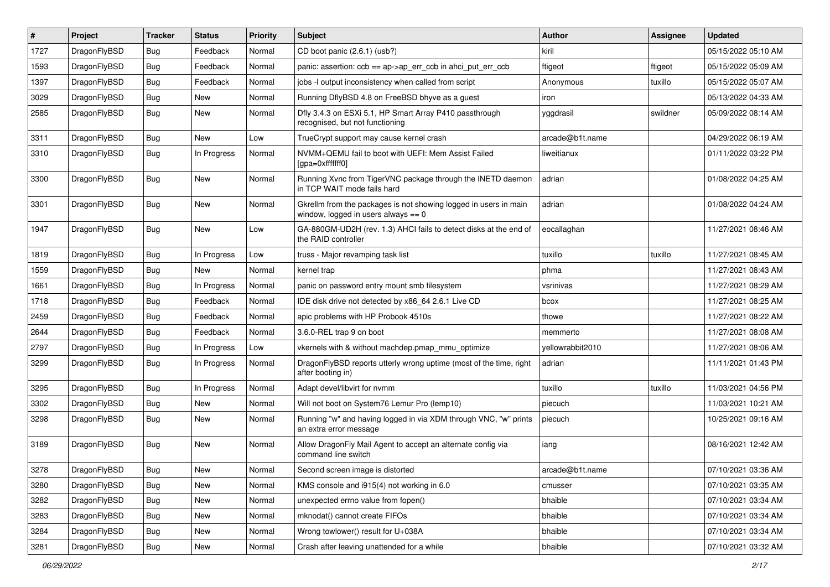| $\vert$ # | Project      | <b>Tracker</b> | <b>Status</b> | <b>Priority</b> | Subject                                                                                                   | Author           | Assignee | <b>Updated</b>      |
|-----------|--------------|----------------|---------------|-----------------|-----------------------------------------------------------------------------------------------------------|------------------|----------|---------------------|
| 1727      | DragonFlyBSD | <b>Bug</b>     | Feedback      | Normal          | CD boot panic (2.6.1) (usb?)                                                                              | kiril            |          | 05/15/2022 05:10 AM |
| 1593      | DragonFlyBSD | <b>Bug</b>     | Feedback      | Normal          | panic: assertion: ccb == ap->ap_err_ccb in ahci_put_err_ccb                                               | ftigeot          | ftigeot  | 05/15/2022 05:09 AM |
| 1397      | DragonFlyBSD | <b>Bug</b>     | Feedback      | Normal          | jobs -I output inconsistency when called from script                                                      | Anonymous        | tuxillo  | 05/15/2022 05:07 AM |
| 3029      | DragonFlyBSD | <b>Bug</b>     | New           | Normal          | Running DflyBSD 4.8 on FreeBSD bhyve as a guest                                                           | iron             |          | 05/13/2022 04:33 AM |
| 2585      | DragonFlyBSD | <b>Bug</b>     | New           | Normal          | Dfly 3.4.3 on ESXi 5.1, HP Smart Array P410 passthrough<br>recognised, but not functioning                | yggdrasil        | swildner | 05/09/2022 08:14 AM |
| 3311      | DragonFlyBSD | <b>Bug</b>     | New           | Low             | TrueCrypt support may cause kernel crash                                                                  | arcade@b1t.name  |          | 04/29/2022 06:19 AM |
| 3310      | DragonFlyBSD | <b>Bug</b>     | In Progress   | Normal          | NVMM+QEMU fail to boot with UEFI: Mem Assist Failed<br>[gpa=0xfffffff0]                                   | liweitianux      |          | 01/11/2022 03:22 PM |
| 3300      | DragonFlyBSD | <b>Bug</b>     | New           | Normal          | Running Xvnc from TigerVNC package through the INETD daemon<br>in TCP WAIT mode fails hard                | adrian           |          | 01/08/2022 04:25 AM |
| 3301      | DragonFlyBSD | <b>Bug</b>     | New           | Normal          | Gkrellm from the packages is not showing logged in users in main<br>window, logged in users always $== 0$ | adrian           |          | 01/08/2022 04:24 AM |
| 1947      | DragonFlyBSD | <b>Bug</b>     | New           | Low             | GA-880GM-UD2H (rev. 1.3) AHCI fails to detect disks at the end of<br>the RAID controller                  | eocallaghan      |          | 11/27/2021 08:46 AM |
| 1819      | DragonFlyBSD | <b>Bug</b>     | In Progress   | Low             | truss - Major revamping task list                                                                         | tuxillo          | tuxillo  | 11/27/2021 08:45 AM |
| 1559      | DragonFlyBSD | <b>Bug</b>     | New           | Normal          | kernel trap                                                                                               | phma             |          | 11/27/2021 08:43 AM |
| 1661      | DragonFlyBSD | <b>Bug</b>     | In Progress   | Normal          | panic on password entry mount smb filesystem                                                              | vsrinivas        |          | 11/27/2021 08:29 AM |
| 1718      | DragonFlyBSD | <b>Bug</b>     | Feedback      | Normal          | IDE disk drive not detected by x86 64 2.6.1 Live CD                                                       | bcox             |          | 11/27/2021 08:25 AM |
| 2459      | DragonFlyBSD | <b>Bug</b>     | Feedback      | Normal          | apic problems with HP Probook 4510s                                                                       | thowe            |          | 11/27/2021 08:22 AM |
| 2644      | DragonFlyBSD | <b>Bug</b>     | Feedback      | Normal          | 3.6.0-REL trap 9 on boot                                                                                  | memmerto         |          | 11/27/2021 08:08 AM |
| 2797      | DragonFlyBSD | <b>Bug</b>     | In Progress   | Low             | vkernels with & without machdep.pmap mmu optimize                                                         | yellowrabbit2010 |          | 11/27/2021 08:06 AM |
| 3299      | DragonFlyBSD | Bug            | In Progress   | Normal          | DragonFlyBSD reports utterly wrong uptime (most of the time, right<br>after booting in)                   | adrian           |          | 11/11/2021 01:43 PM |
| 3295      | DragonFlyBSD | Bug            | In Progress   | Normal          | Adapt devel/libvirt for nvmm                                                                              | tuxillo          | tuxillo  | 11/03/2021 04:56 PM |
| 3302      | DragonFlyBSD | Bug            | New           | Normal          | Will not boot on System76 Lemur Pro (lemp10)                                                              | piecuch          |          | 11/03/2021 10:21 AM |
| 3298      | DragonFlyBSD | Bug            | <b>New</b>    | Normal          | Running "w" and having logged in via XDM through VNC, "w" prints<br>an extra error message                | piecuch          |          | 10/25/2021 09:16 AM |
| 3189      | DragonFlyBSD | Bug            | New           | Normal          | Allow DragonFly Mail Agent to accept an alternate config via<br>command line switch                       | iang             |          | 08/16/2021 12:42 AM |
| 3278      | DragonFlyBSD | <b>Bug</b>     | New           | Normal          | Second screen image is distorted                                                                          | arcade@b1t.name  |          | 07/10/2021 03:36 AM |
| 3280      | DragonFlyBSD | Bug            | New           | Normal          | KMS console and i915(4) not working in 6.0                                                                | cmusser          |          | 07/10/2021 03:35 AM |
| 3282      | DragonFlyBSD | <b>Bug</b>     | New           | Normal          | unexpected errno value from fopen()                                                                       | bhaible          |          | 07/10/2021 03:34 AM |
| 3283      | DragonFlyBSD | <b>Bug</b>     | New           | Normal          | mknodat() cannot create FIFOs                                                                             | bhaible          |          | 07/10/2021 03:34 AM |
| 3284      | DragonFlyBSD | <b>Bug</b>     | New           | Normal          | Wrong towlower() result for U+038A                                                                        | bhaible          |          | 07/10/2021 03:34 AM |
| 3281      | DragonFlyBSD | <b>Bug</b>     | New           | Normal          | Crash after leaving unattended for a while                                                                | bhaible          |          | 07/10/2021 03:32 AM |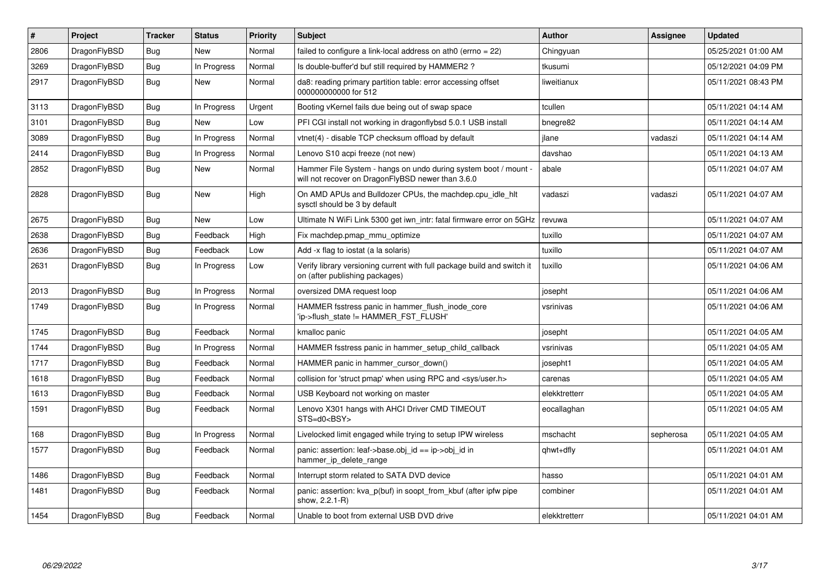| ∦    | <b>Project</b> | <b>Tracker</b> | <b>Status</b> | <b>Priority</b> | <b>Subject</b>                                                                                                       | <b>Author</b> | <b>Assignee</b> | <b>Updated</b>      |
|------|----------------|----------------|---------------|-----------------|----------------------------------------------------------------------------------------------------------------------|---------------|-----------------|---------------------|
| 2806 | DragonFlyBSD   | Bug            | <b>New</b>    | Normal          | failed to configure a link-local address on ath0 (errno = 22)                                                        | Chingyuan     |                 | 05/25/2021 01:00 AM |
| 3269 | DragonFlyBSD   | Bug            | In Progress   | Normal          | Is double-buffer'd buf still required by HAMMER2?                                                                    | tkusumi       |                 | 05/12/2021 04:09 PM |
| 2917 | DragonFlyBSD   | <b>Bug</b>     | New           | Normal          | da8: reading primary partition table: error accessing offset<br>000000000000 for 512                                 | liweitianux   |                 | 05/11/2021 08:43 PM |
| 3113 | DragonFlyBSD   | Bug            | In Progress   | Urgent          | Booting vKernel fails due being out of swap space                                                                    | tcullen       |                 | 05/11/2021 04:14 AM |
| 3101 | DragonFlyBSD   | <b>Bug</b>     | New           | Low             | PFI CGI install not working in dragonflybsd 5.0.1 USB install                                                        | bnegre82      |                 | 05/11/2021 04:14 AM |
| 3089 | DragonFlyBSD   | Bug            | In Progress   | Normal          | vtnet(4) - disable TCP checksum offload by default                                                                   | ilane         | vadaszi         | 05/11/2021 04:14 AM |
| 2414 | DragonFlyBSD   | Bug            | In Progress   | Normal          | Lenovo S10 acpi freeze (not new)                                                                                     | davshao       |                 | 05/11/2021 04:13 AM |
| 2852 | DragonFlyBSD   | <b>Bug</b>     | <b>New</b>    | Normal          | Hammer File System - hangs on undo during system boot / mount -<br>will not recover on DragonFlyBSD newer than 3.6.0 | abale         |                 | 05/11/2021 04:07 AM |
| 2828 | DragonFlyBSD   | <b>Bug</b>     | <b>New</b>    | High            | On AMD APUs and Bulldozer CPUs, the machdep.cpu_idle_hlt<br>sysctl should be 3 by default                            | vadaszi       | vadaszi         | 05/11/2021 04:07 AM |
| 2675 | DragonFlyBSD   | Bug            | <b>New</b>    | Low             | Ultimate N WiFi Link 5300 get iwn_intr: fatal firmware error on 5GHz                                                 | revuwa        |                 | 05/11/2021 04:07 AM |
| 2638 | DragonFlyBSD   | <b>Bug</b>     | Feedback      | High            | Fix machdep.pmap_mmu_optimize                                                                                        | tuxillo       |                 | 05/11/2021 04:07 AM |
| 2636 | DragonFlyBSD   | <b>Bug</b>     | Feedback      | Low             | Add -x flag to iostat (a la solaris)                                                                                 | tuxillo       |                 | 05/11/2021 04:07 AM |
| 2631 | DragonFlyBSD   | <b>Bug</b>     | In Progress   | Low             | Verify library versioning current with full package build and switch it<br>on (after publishing packages)            | tuxillo       |                 | 05/11/2021 04:06 AM |
| 2013 | DragonFlyBSD   | Bug            | In Progress   | Normal          | oversized DMA request loop                                                                                           | josepht       |                 | 05/11/2021 04:06 AM |
| 1749 | DragonFlyBSD   | <b>Bug</b>     | In Progress   | Normal          | HAMMER fsstress panic in hammer flush inode core<br>'ip->flush state != HAMMER FST FLUSH'                            | vsrinivas     |                 | 05/11/2021 04:06 AM |
| 1745 | DragonFlyBSD   | <b>Bug</b>     | Feedback      | Normal          | kmalloc panic                                                                                                        | josepht       |                 | 05/11/2021 04:05 AM |
| 1744 | DragonFlyBSD   | Bug            | In Progress   | Normal          | HAMMER fsstress panic in hammer setup child callback                                                                 | vsrinivas     |                 | 05/11/2021 04:05 AM |
| 1717 | DragonFlyBSD   | <b>Bug</b>     | Feedback      | Normal          | HAMMER panic in hammer cursor down()                                                                                 | josepht1      |                 | 05/11/2021 04:05 AM |
| 1618 | DragonFlyBSD   | <b>Bug</b>     | Feedback      | Normal          | collision for 'struct pmap' when using RPC and <sys user.h=""></sys>                                                 | carenas       |                 | 05/11/2021 04:05 AM |
| 1613 | DragonFlyBSD   | <b>Bug</b>     | Feedback      | Normal          | USB Keyboard not working on master                                                                                   | elekktretterr |                 | 05/11/2021 04:05 AM |
| 1591 | DragonFlyBSD   | Bug            | Feedback      | Normal          | Lenovo X301 hangs with AHCI Driver CMD TIMEOUT<br>STS=d0 <bsy></bsy>                                                 | eocallaghan   |                 | 05/11/2021 04:05 AM |
| 168  | DragonFlyBSD   | <b>Bug</b>     | In Progress   | Normal          | Livelocked limit engaged while trying to setup IPW wireless                                                          | mschacht      | sepherosa       | 05/11/2021 04:05 AM |
| 1577 | DragonFlyBSD   | Bug            | Feedback      | Normal          | panic: assertion: leaf->base.obj id == ip->obj id in<br>hammer_ip_delete_range                                       | qhwt+dfly     |                 | 05/11/2021 04:01 AM |
| 1486 | DragonFlyBSD   | <b>Bug</b>     | Feedback      | Normal          | Interrupt storm related to SATA DVD device                                                                           | hasso         |                 | 05/11/2021 04:01 AM |
| 1481 | DragonFlyBSD   | <b>Bug</b>     | Feedback      | Normal          | panic: assertion: kva p(buf) in soopt from kbuf (after ipfw pipe<br>show, 2.2.1-R)                                   | combiner      |                 | 05/11/2021 04:01 AM |
| 1454 | DragonFlyBSD   | Bug            | Feedback      | Normal          | Unable to boot from external USB DVD drive                                                                           | elekktretterr |                 | 05/11/2021 04:01 AM |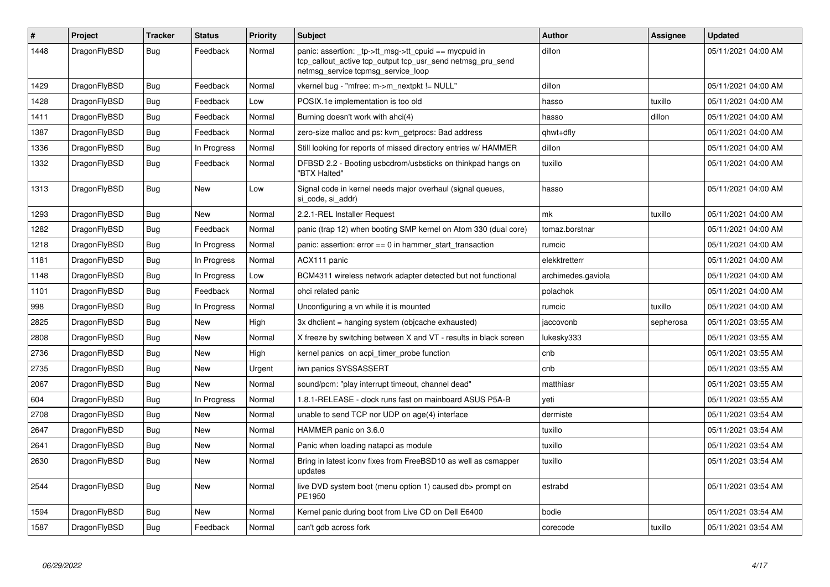| #    | Project      | Tracker    | <b>Status</b> | <b>Priority</b> | <b>Subject</b>                                                                                                                                            | <b>Author</b>      | Assignee  | <b>Updated</b>      |
|------|--------------|------------|---------------|-----------------|-----------------------------------------------------------------------------------------------------------------------------------------------------------|--------------------|-----------|---------------------|
| 1448 | DragonFlyBSD | <b>Bug</b> | Feedback      | Normal          | panic: assertion: _tp->tt_msg->tt_cpuid == mycpuid in<br>tcp_callout_active tcp_output tcp_usr_send netmsg_pru_send<br>netmsg service tcpmsg service loop | dillon             |           | 05/11/2021 04:00 AM |
| 1429 | DragonFlyBSD | <b>Bug</b> | Feedback      | Normal          | vkernel bug - "mfree: m->m_nextpkt != NULL"                                                                                                               | dillon             |           | 05/11/2021 04:00 AM |
| 1428 | DragonFlyBSD | Bug        | Feedback      | Low             | POSIX.1e implementation is too old                                                                                                                        | hasso              | tuxillo   | 05/11/2021 04:00 AM |
| 1411 | DragonFlyBSD | Bug        | Feedback      | Normal          | Burning doesn't work with ahci(4)                                                                                                                         | hasso              | dillon    | 05/11/2021 04:00 AM |
| 1387 | DragonFlyBSD | Bug        | Feedback      | Normal          | zero-size malloc and ps: kvm getprocs: Bad address                                                                                                        | qhwt+dfly          |           | 05/11/2021 04:00 AM |
| 1336 | DragonFlyBSD | <b>Bug</b> | In Progress   | Normal          | Still looking for reports of missed directory entries w/ HAMMER                                                                                           | dillon             |           | 05/11/2021 04:00 AM |
| 1332 | DragonFlyBSD | Bug        | Feedback      | Normal          | DFBSD 2.2 - Booting usbcdrom/usbsticks on thinkpad hangs on<br>"BTX Halted"                                                                               | tuxillo            |           | 05/11/2021 04:00 AM |
| 1313 | DragonFlyBSD | Bug        | <b>New</b>    | Low             | Signal code in kernel needs major overhaul (signal queues,<br>si code, si addr)                                                                           | hasso              |           | 05/11/2021 04:00 AM |
| 1293 | DragonFlyBSD | Bug        | New           | Normal          | 2.2.1-REL Installer Request                                                                                                                               | mk                 | tuxillo   | 05/11/2021 04:00 AM |
| 1282 | DragonFlyBSD | <b>Bug</b> | Feedback      | Normal          | panic (trap 12) when booting SMP kernel on Atom 330 (dual core)                                                                                           | tomaz.borstnar     |           | 05/11/2021 04:00 AM |
| 1218 | DragonFlyBSD | Bug        | In Progress   | Normal          | panic: assertion: $error == 0$ in hammer start transaction                                                                                                | rumcic             |           | 05/11/2021 04:00 AM |
| 1181 | DragonFlyBSD | Bug        | In Progress   | Normal          | ACX111 panic                                                                                                                                              | elekktretterr      |           | 05/11/2021 04:00 AM |
| 1148 | DragonFlyBSD | <b>Bug</b> | In Progress   | Low             | BCM4311 wireless network adapter detected but not functional                                                                                              | archimedes.gaviola |           | 05/11/2021 04:00 AM |
| 1101 | DragonFlyBSD | <b>Bug</b> | Feedback      | Normal          | ohci related panic                                                                                                                                        | polachok           |           | 05/11/2021 04:00 AM |
| 998  | DragonFlyBSD | <b>Bug</b> | In Progress   | Normal          | Unconfiguring a vn while it is mounted                                                                                                                    | rumcic             | tuxillo   | 05/11/2021 04:00 AM |
| 2825 | DragonFlyBSD | <b>Bug</b> | <b>New</b>    | High            | 3x dhclient = hanging system (objcache exhausted)                                                                                                         | jaccovonb          | sepherosa | 05/11/2021 03:55 AM |
| 2808 | DragonFlyBSD | <b>Bug</b> | <b>New</b>    | Normal          | X freeze by switching between X and VT - results in black screen                                                                                          | lukesky333         |           | 05/11/2021 03:55 AM |
| 2736 | DragonFlyBSD | <b>Bug</b> | <b>New</b>    | High            | kernel panics on acpi timer probe function                                                                                                                | cnb                |           | 05/11/2021 03:55 AM |
| 2735 | DragonFlyBSD | Bug        | <b>New</b>    | Urgent          | iwn panics SYSSASSERT                                                                                                                                     | cnb                |           | 05/11/2021 03:55 AM |
| 2067 | DragonFlyBSD | Bug        | New           | Normal          | sound/pcm: "play interrupt timeout, channel dead"                                                                                                         | matthiasr          |           | 05/11/2021 03:55 AM |
| 604  | DragonFlyBSD | <b>Bug</b> | In Progress   | Normal          | 1.8.1-RELEASE - clock runs fast on mainboard ASUS P5A-B                                                                                                   | veti               |           | 05/11/2021 03:55 AM |
| 2708 | DragonFlyBSD | Bug        | New           | Normal          | unable to send TCP nor UDP on age(4) interface                                                                                                            | dermiste           |           | 05/11/2021 03:54 AM |
| 2647 | DragonFlyBSD | Bug        | <b>New</b>    | Normal          | HAMMER panic on 3.6.0                                                                                                                                     | tuxillo            |           | 05/11/2021 03:54 AM |
| 2641 | DragonFlyBSD | <b>Bug</b> | <b>New</b>    | Normal          | Panic when loading natapci as module                                                                                                                      | tuxillo            |           | 05/11/2021 03:54 AM |
| 2630 | DragonFlyBSD | Bug        | <b>New</b>    | Normal          | Bring in latest iconv fixes from FreeBSD10 as well as csmapper<br>updates                                                                                 | tuxillo            |           | 05/11/2021 03:54 AM |
| 2544 | DragonFlyBSD | <b>Bug</b> | New           | Normal          | live DVD system boot (menu option 1) caused db> prompt on<br>PE1950                                                                                       | estrabd            |           | 05/11/2021 03:54 AM |
| 1594 | DragonFlyBSD | Bug        | New           | Normal          | Kernel panic during boot from Live CD on Dell E6400                                                                                                       | bodie              |           | 05/11/2021 03:54 AM |
| 1587 | DragonFlyBSD | <b>Bug</b> | Feedback      | Normal          | can't gdb across fork                                                                                                                                     | corecode           | tuxillo   | 05/11/2021 03:54 AM |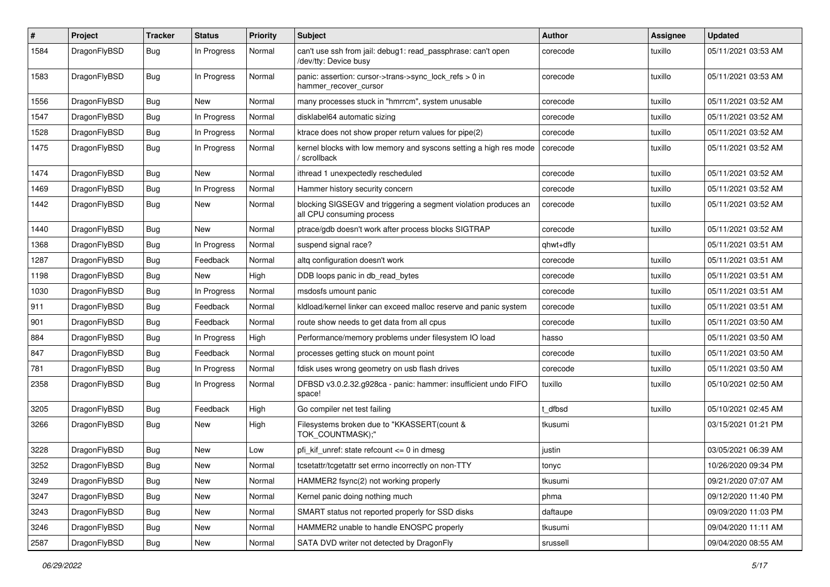| $\#$ | Project      | <b>Tracker</b> | <b>Status</b> | <b>Priority</b> | Subject                                                                                      | <b>Author</b> | Assignee | <b>Updated</b>      |
|------|--------------|----------------|---------------|-----------------|----------------------------------------------------------------------------------------------|---------------|----------|---------------------|
| 1584 | DragonFlyBSD | <b>Bug</b>     | In Progress   | Normal          | can't use ssh from jail: debug1: read_passphrase: can't open<br>/dev/tty: Device busy        | corecode      | tuxillo  | 05/11/2021 03:53 AM |
| 1583 | DragonFlyBSD | Bug            | In Progress   | Normal          | panic: assertion: cursor->trans->sync_lock_refs > 0 in<br>hammer recover cursor              | corecode      | tuxillo  | 05/11/2021 03:53 AM |
| 1556 | DragonFlyBSD | Bug            | <b>New</b>    | Normal          | many processes stuck in "hmrrcm", system unusable                                            | corecode      | tuxillo  | 05/11/2021 03:52 AM |
| 1547 | DragonFlyBSD | <b>Bug</b>     | In Progress   | Normal          | disklabel64 automatic sizing                                                                 | corecode      | tuxillo  | 05/11/2021 03:52 AM |
| 1528 | DragonFlyBSD | <b>Bug</b>     | In Progress   | Normal          | ktrace does not show proper return values for pipe(2)                                        | corecode      | tuxillo  | 05/11/2021 03:52 AM |
| 1475 | DragonFlyBSD | Bug            | In Progress   | Normal          | kernel blocks with low memory and syscons setting a high res mode<br>scrollback              | corecode      | tuxillo  | 05/11/2021 03:52 AM |
| 1474 | DragonFlyBSD | <b>Bug</b>     | New           | Normal          | ithread 1 unexpectedly rescheduled                                                           | corecode      | tuxillo  | 05/11/2021 03:52 AM |
| 1469 | DragonFlyBSD | Bug            | In Progress   | Normal          | Hammer history security concern                                                              | corecode      | tuxillo  | 05/11/2021 03:52 AM |
| 1442 | DragonFlyBSD | Bug            | New           | Normal          | blocking SIGSEGV and triggering a segment violation produces an<br>all CPU consuming process | corecode      | tuxillo  | 05/11/2021 03:52 AM |
| 1440 | DragonFlyBSD | Bug            | New           | Normal          | ptrace/gdb doesn't work after process blocks SIGTRAP                                         | corecode      | tuxillo  | 05/11/2021 03:52 AM |
| 1368 | DragonFlyBSD | <b>Bug</b>     | In Progress   | Normal          | suspend signal race?                                                                         | qhwt+dfly     |          | 05/11/2021 03:51 AM |
| 1287 | DragonFlyBSD | <b>Bug</b>     | Feedback      | Normal          | altg configuration doesn't work                                                              | corecode      | tuxillo  | 05/11/2021 03:51 AM |
| 1198 | DragonFlyBSD | <b>Bug</b>     | <b>New</b>    | High            | DDB loops panic in db_read_bytes                                                             | corecode      | tuxillo  | 05/11/2021 03:51 AM |
| 1030 | DragonFlyBSD | <b>Bug</b>     | In Progress   | Normal          | msdosfs umount panic                                                                         | corecode      | tuxillo  | 05/11/2021 03:51 AM |
| 911  | DragonFlyBSD | <b>Bug</b>     | Feedback      | Normal          | kldload/kernel linker can exceed malloc reserve and panic system                             | corecode      | tuxillo  | 05/11/2021 03:51 AM |
| 901  | DragonFlyBSD | <b>Bug</b>     | Feedback      | Normal          | route show needs to get data from all cpus                                                   | corecode      | tuxillo  | 05/11/2021 03:50 AM |
| 884  | DragonFlyBSD | <b>Bug</b>     | In Progress   | High            | Performance/memory problems under filesystem IO load                                         | hasso         |          | 05/11/2021 03:50 AM |
| 847  | DragonFlyBSD | <b>Bug</b>     | Feedback      | Normal          | processes getting stuck on mount point                                                       | corecode      | tuxillo  | 05/11/2021 03:50 AM |
| 781  | DragonFlyBSD | <b>Bug</b>     | In Progress   | Normal          | fdisk uses wrong geometry on usb flash drives                                                | corecode      | tuxillo  | 05/11/2021 03:50 AM |
| 2358 | DragonFlyBSD | <b>Bug</b>     | In Progress   | Normal          | DFBSD v3.0.2.32.g928ca - panic: hammer: insufficient undo FIFO<br>space!                     | tuxillo       | tuxillo  | 05/10/2021 02:50 AM |
| 3205 | DragonFlyBSD | Bug            | Feedback      | High            | Go compiler net test failing                                                                 | : dfbsd       | tuxillo  | 05/10/2021 02:45 AM |
| 3266 | DragonFlyBSD | <b>Bug</b>     | New           | High            | Filesystems broken due to "KKASSERT(count &<br>TOK_COUNTMASK);"                              | tkusumi       |          | 03/15/2021 01:21 PM |
| 3228 | DragonFlyBSD | <b>Bug</b>     | <b>New</b>    | Low             | pfi kif unref: state refcount $\leq 0$ in dmesg                                              | justin        |          | 03/05/2021 06:39 AM |
| 3252 | DragonFlyBSD | Bug            | <b>New</b>    | Normal          | tcsetattr/tcgetattr set errno incorrectly on non-TTY                                         | tonyc         |          | 10/26/2020 09:34 PM |
| 3249 | DragonFlyBSD | Bug            | New           | Normal          | HAMMER2 fsync(2) not working properly                                                        | tkusumi       |          | 09/21/2020 07:07 AM |
| 3247 | DragonFlyBSD | Bug            | New           | Normal          | Kernel panic doing nothing much                                                              | phma          |          | 09/12/2020 11:40 PM |
| 3243 | DragonFlyBSD | <b>Bug</b>     | New           | Normal          | SMART status not reported properly for SSD disks                                             | daftaupe      |          | 09/09/2020 11:03 PM |
| 3246 | DragonFlyBSD | Bug            | New           | Normal          | HAMMER2 unable to handle ENOSPC properly                                                     | tkusumi       |          | 09/04/2020 11:11 AM |
| 2587 | DragonFlyBSD | <b>Bug</b>     | New           | Normal          | SATA DVD writer not detected by DragonFly                                                    | srussell      |          | 09/04/2020 08:55 AM |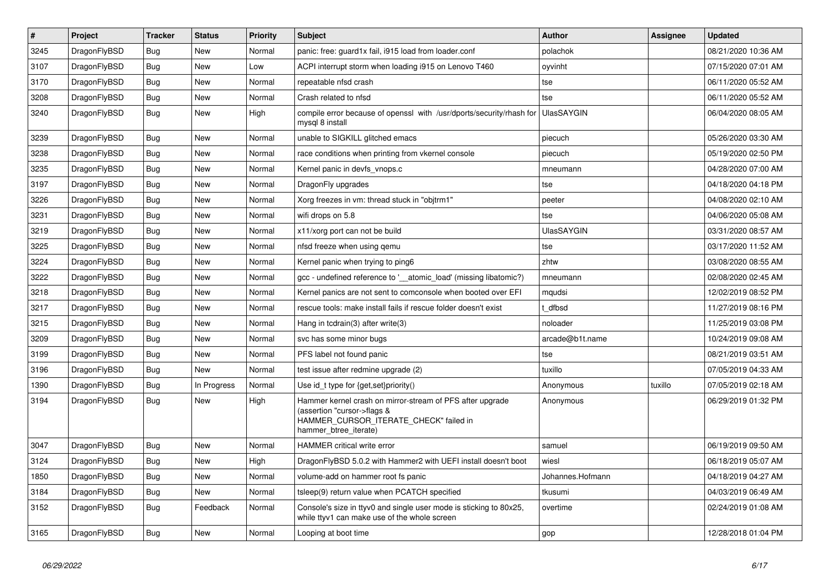| $\vert$ # | <b>Project</b> | <b>Tracker</b> | <b>Status</b> | <b>Priority</b> | <b>Subject</b>                                                                                                                                              | <b>Author</b>     | <b>Assignee</b> | <b>Updated</b>      |
|-----------|----------------|----------------|---------------|-----------------|-------------------------------------------------------------------------------------------------------------------------------------------------------------|-------------------|-----------------|---------------------|
| 3245      | DragonFlyBSD   | Bug            | <b>New</b>    | Normal          | panic: free: guard1x fail, i915 load from loader.conf                                                                                                       | polachok          |                 | 08/21/2020 10:36 AM |
| 3107      | DragonFlyBSD   | <b>Bug</b>     | <b>New</b>    | Low             | ACPI interrupt storm when loading i915 on Lenovo T460                                                                                                       | oyvinht           |                 | 07/15/2020 07:01 AM |
| 3170      | DragonFlyBSD   | <b>Bug</b>     | <b>New</b>    | Normal          | repeatable nfsd crash                                                                                                                                       | tse               |                 | 06/11/2020 05:52 AM |
| 3208      | DragonFlyBSD   | Bug            | <b>New</b>    | Normal          | Crash related to nfsd                                                                                                                                       | tse               |                 | 06/11/2020 05:52 AM |
| 3240      | DragonFlyBSD   | <b>Bug</b>     | <b>New</b>    | High            | compile error because of openssl with /usr/dports/security/rhash for<br>mysql 8 install                                                                     | <b>UlasSAYGIN</b> |                 | 06/04/2020 08:05 AM |
| 3239      | DragonFlyBSD   | Bug            | <b>New</b>    | Normal          | unable to SIGKILL glitched emacs                                                                                                                            | piecuch           |                 | 05/26/2020 03:30 AM |
| 3238      | DragonFlyBSD   | Bug            | <b>New</b>    | Normal          | race conditions when printing from vkernel console                                                                                                          | piecuch           |                 | 05/19/2020 02:50 PM |
| 3235      | DragonFlyBSD   | <b>Bug</b>     | <b>New</b>    | Normal          | Kernel panic in devfs vnops.c                                                                                                                               | mneumann          |                 | 04/28/2020 07:00 AM |
| 3197      | DragonFlyBSD   | <b>Bug</b>     | New           | Normal          | DragonFly upgrades                                                                                                                                          | tse               |                 | 04/18/2020 04:18 PM |
| 3226      | DragonFlyBSD   | Bug            | <b>New</b>    | Normal          | Xorg freezes in vm: thread stuck in "objtrm1"                                                                                                               | peeter            |                 | 04/08/2020 02:10 AM |
| 3231      | DragonFlyBSD   | Bug            | New           | Normal          | wifi drops on 5.8                                                                                                                                           | tse               |                 | 04/06/2020 05:08 AM |
| 3219      | DragonFlyBSD   | <b>Bug</b>     | New           | Normal          | x11/xorg port can not be build                                                                                                                              | <b>UlasSAYGIN</b> |                 | 03/31/2020 08:57 AM |
| 3225      | DragonFlyBSD   | <b>Bug</b>     | <b>New</b>    | Normal          | nfsd freeze when using gemu                                                                                                                                 | tse               |                 | 03/17/2020 11:52 AM |
| 3224      | DragonFlyBSD   | Bug            | <b>New</b>    | Normal          | Kernel panic when trying to ping6                                                                                                                           | zhtw              |                 | 03/08/2020 08:55 AM |
| 3222      | DragonFlyBSD   | Bug            | <b>New</b>    | Normal          | gcc - undefined reference to '__atomic_load' (missing libatomic?)                                                                                           | mneumann          |                 | 02/08/2020 02:45 AM |
| 3218      | DragonFlyBSD   | <b>Bug</b>     | <b>New</b>    | Normal          | Kernel panics are not sent to comconsole when booted over EFI                                                                                               | mqudsi            |                 | 12/02/2019 08:52 PM |
| 3217      | DragonFlyBSD   | <b>Bug</b>     | <b>New</b>    | Normal          | rescue tools: make install fails if rescue folder doesn't exist                                                                                             | dfbsd             |                 | 11/27/2019 08:16 PM |
| 3215      | DragonFlyBSD   | Bug            | <b>New</b>    | Normal          | Hang in tcdrain(3) after write(3)                                                                                                                           | noloader          |                 | 11/25/2019 03:08 PM |
| 3209      | DragonFlyBSD   | Bug            | <b>New</b>    | Normal          | svc has some minor bugs                                                                                                                                     | arcade@b1t.name   |                 | 10/24/2019 09:08 AM |
| 3199      | DragonFlyBSD   | <b>Bug</b>     | <b>New</b>    | Normal          | PFS label not found panic                                                                                                                                   | tse               |                 | 08/21/2019 03:51 AM |
| 3196      | DragonFlyBSD   | <b>Bug</b>     | <b>New</b>    | Normal          | test issue after redmine upgrade (2)                                                                                                                        | tuxillo           |                 | 07/05/2019 04:33 AM |
| 1390      | DragonFlyBSD   | Bug            | In Progress   | Normal          | Use id_t type for {get, set}priority()                                                                                                                      | Anonymous         | tuxillo         | 07/05/2019 02:18 AM |
| 3194      | DragonFlyBSD   | <b>Bug</b>     | <b>New</b>    | High            | Hammer kernel crash on mirror-stream of PFS after upgrade<br>(assertion "cursor->flags &<br>HAMMER CURSOR ITERATE CHECK" failed in<br>hammer_btree_iterate) | Anonymous         |                 | 06/29/2019 01:32 PM |
| 3047      | DragonFlyBSD   | <b>Bug</b>     | <b>New</b>    | Normal          | <b>HAMMER</b> critical write error                                                                                                                          | samuel            |                 | 06/19/2019 09:50 AM |
| 3124      | DragonFlyBSD   | <b>Bug</b>     | <b>New</b>    | High            | DragonFlyBSD 5.0.2 with Hammer2 with UEFI install doesn't boot                                                                                              | wiesl             |                 | 06/18/2019 05:07 AM |
| 1850      | DragonFlyBSD   | Bug            | <b>New</b>    | Normal          | volume-add on hammer root fs panic                                                                                                                          | Johannes.Hofmann  |                 | 04/18/2019 04:27 AM |
| 3184      | DragonFlyBSD   | <b>Bug</b>     | <b>New</b>    | Normal          | tsleep(9) return value when PCATCH specified                                                                                                                | tkusumi           |                 | 04/03/2019 06:49 AM |
| 3152      | DragonFlyBSD   | <b>Bug</b>     | Feedback      | Normal          | Console's size in ttyv0 and single user mode is sticking to 80x25,<br>while ttyv1 can make use of the whole screen                                          | overtime          |                 | 02/24/2019 01:08 AM |
| 3165      | DragonFlyBSD   | Bug            | <b>New</b>    | Normal          | Looping at boot time                                                                                                                                        | gop               |                 | 12/28/2018 01:04 PM |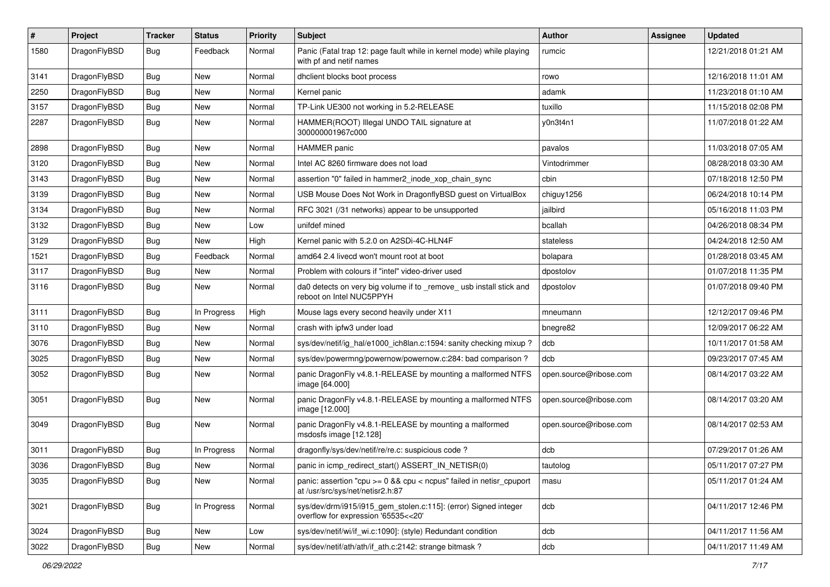| $\pmb{\#}$ | Project      | <b>Tracker</b> | <b>Status</b> | <b>Priority</b> | Subject                                                                                                   | Author                 | Assignee | <b>Updated</b>      |
|------------|--------------|----------------|---------------|-----------------|-----------------------------------------------------------------------------------------------------------|------------------------|----------|---------------------|
| 1580       | DragonFlyBSD | Bug            | Feedback      | Normal          | Panic (Fatal trap 12: page fault while in kernel mode) while playing<br>with pf and netif names           | rumcic                 |          | 12/21/2018 01:21 AM |
| 3141       | DragonFlyBSD | <b>Bug</b>     | <b>New</b>    | Normal          | dhclient blocks boot process                                                                              | rowo                   |          | 12/16/2018 11:01 AM |
| 2250       | DragonFlyBSD | Bug            | <b>New</b>    | Normal          | Kernel panic                                                                                              | adamk                  |          | 11/23/2018 01:10 AM |
| 3157       | DragonFlyBSD | Bug            | <b>New</b>    | Normal          | TP-Link UE300 not working in 5.2-RELEASE                                                                  | tuxillo                |          | 11/15/2018 02:08 PM |
| 2287       | DragonFlyBSD | Bug            | New           | Normal          | HAMMER(ROOT) Illegal UNDO TAIL signature at<br>300000001967c000                                           | y0n3t4n1               |          | 11/07/2018 01:22 AM |
| 2898       | DragonFlyBSD | <b>Bug</b>     | <b>New</b>    | Normal          | <b>HAMMER</b> panic                                                                                       | pavalos                |          | 11/03/2018 07:05 AM |
| 3120       | DragonFlyBSD | <b>Bug</b>     | <b>New</b>    | Normal          | Intel AC 8260 firmware does not load                                                                      | Vintodrimmer           |          | 08/28/2018 03:30 AM |
| 3143       | DragonFlyBSD | <b>Bug</b>     | New           | Normal          | assertion "0" failed in hammer2_inode_xop_chain_sync                                                      | cbin                   |          | 07/18/2018 12:50 PM |
| 3139       | DragonFlyBSD | <b>Bug</b>     | New           | Normal          | USB Mouse Does Not Work in DragonflyBSD guest on VirtualBox                                               | chiguy1256             |          | 06/24/2018 10:14 PM |
| 3134       | DragonFlyBSD | <b>Bug</b>     | <b>New</b>    | Normal          | RFC 3021 (/31 networks) appear to be unsupported                                                          | jailbird               |          | 05/16/2018 11:03 PM |
| 3132       | DragonFlyBSD | <b>Bug</b>     | <b>New</b>    | Low             | unifdef mined                                                                                             | bcallah                |          | 04/26/2018 08:34 PM |
| 3129       | DragonFlyBSD | <b>Bug</b>     | New           | High            | Kernel panic with 5.2.0 on A2SDi-4C-HLN4F                                                                 | stateless              |          | 04/24/2018 12:50 AM |
| 1521       | DragonFlyBSD | Bug            | Feedback      | Normal          | amd64 2.4 livecd won't mount root at boot                                                                 | bolapara               |          | 01/28/2018 03:45 AM |
| 3117       | DragonFlyBSD | <b>Bug</b>     | New           | Normal          | Problem with colours if "intel" video-driver used                                                         | dpostolov              |          | 01/07/2018 11:35 PM |
| 3116       | DragonFlyBSD | <b>Bug</b>     | New           | Normal          | da0 detects on very big volume if to _remove_ usb install stick and<br>reboot on Intel NUC5PPYH           | dpostolov              |          | 01/07/2018 09:40 PM |
| 3111       | DragonFlyBSD | <b>Bug</b>     | In Progress   | High            | Mouse lags every second heavily under X11                                                                 | mneumann               |          | 12/12/2017 09:46 PM |
| 3110       | DragonFlyBSD | Bug            | <b>New</b>    | Normal          | crash with ipfw3 under load                                                                               | bnegre82               |          | 12/09/2017 06:22 AM |
| 3076       | DragonFlyBSD | <b>Bug</b>     | New           | Normal          | sys/dev/netif/ig hal/e1000 ich8lan.c:1594: sanity checking mixup?                                         | dcb                    |          | 10/11/2017 01:58 AM |
| 3025       | DragonFlyBSD | <b>Bug</b>     | New           | Normal          | sys/dev/powermng/powernow/powernow.c:284: bad comparison?                                                 | dcb                    |          | 09/23/2017 07:45 AM |
| 3052       | DragonFlyBSD | Bug            | New           | Normal          | panic DragonFly v4.8.1-RELEASE by mounting a malformed NTFS<br>image [64.000]                             | open.source@ribose.com |          | 08/14/2017 03:22 AM |
| 3051       | DragonFlyBSD | <b>Bug</b>     | New           | Normal          | panic DragonFly v4.8.1-RELEASE by mounting a malformed NTFS<br>image [12.000]                             | open.source@ribose.com |          | 08/14/2017 03:20 AM |
| 3049       | DragonFlyBSD | Bug            | <b>New</b>    | Normal          | panic DragonFly v4.8.1-RELEASE by mounting a malformed<br>msdosfs image [12.128]                          | open.source@ribose.com |          | 08/14/2017 02:53 AM |
| 3011       | DragonFlyBSD | <b>Bug</b>     | In Progress   | Normal          | dragonfly/sys/dev/netif/re/re.c: suspicious code ?                                                        | dcb                    |          | 07/29/2017 01:26 AM |
| 3036       | DragonFlyBSD | Bug            | New           | Normal          | panic in icmp_redirect_start() ASSERT_IN_NETISR(0)                                                        | tautolog               |          | 05/11/2017 07:27 PM |
| 3035       | DragonFlyBSD | <b>Bug</b>     | New           | Normal          | panic: assertion "cpu $>= 0$ && cpu < ncpus" failed in netisr cpuport<br>at /usr/src/sys/net/netisr2.h:87 | masu                   |          | 05/11/2017 01:24 AM |
| 3021       | DragonFlyBSD | <b>Bug</b>     | In Progress   | Normal          | sys/dev/drm/i915/i915_gem_stolen.c:115]: (error) Signed integer<br>overflow for expression '65535<<20'    | dcb                    |          | 04/11/2017 12:46 PM |
| 3024       | DragonFlyBSD | <b>Bug</b>     | <b>New</b>    | Low             | sys/dev/netif/wi/if_wi.c:1090]: (style) Redundant condition                                               | dcb                    |          | 04/11/2017 11:56 AM |
| 3022       | DragonFlyBSD | <b>Bug</b>     | New           | Normal          | sys/dev/netif/ath/ath/if_ath.c:2142: strange bitmask?                                                     | dcb                    |          | 04/11/2017 11:49 AM |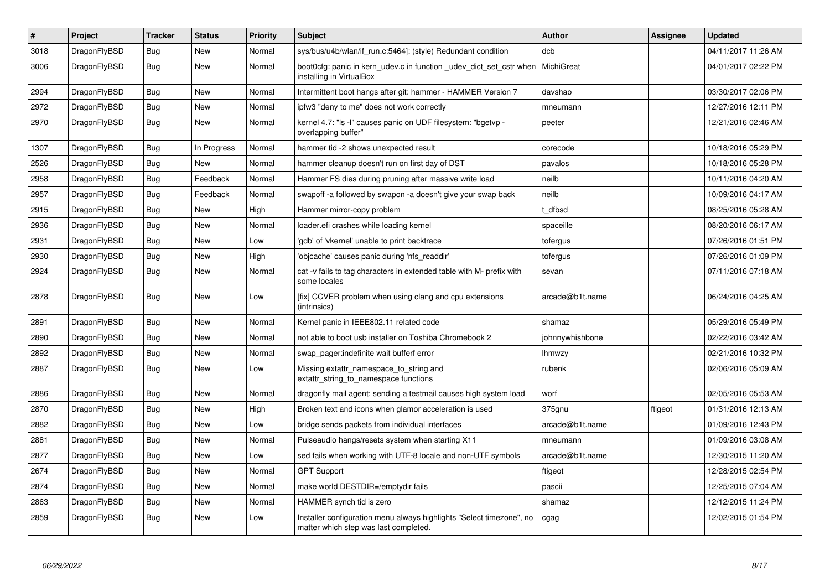| $\pmb{\#}$ | Project      | <b>Tracker</b> | <b>Status</b> | <b>Priority</b> | <b>Subject</b>                                                                                                | <b>Author</b>   | Assignee | Updated             |
|------------|--------------|----------------|---------------|-----------------|---------------------------------------------------------------------------------------------------------------|-----------------|----------|---------------------|
| 3018       | DragonFlyBSD | Bug            | <b>New</b>    | Normal          | sys/bus/u4b/wlan/if_run.c:5464]: (style) Redundant condition                                                  | dcb             |          | 04/11/2017 11:26 AM |
| 3006       | DragonFlyBSD | Bug            | New           | Normal          | boot Ocfg: panic in kern udev.c in function udev dict set cstr when<br>installing in VirtualBox               | MichiGreat      |          | 04/01/2017 02:22 PM |
| 2994       | DragonFlyBSD | Bug            | <b>New</b>    | Normal          | Intermittent boot hangs after git: hammer - HAMMER Version 7                                                  | davshao         |          | 03/30/2017 02:06 PM |
| 2972       | DragonFlyBSD | Bug            | <b>New</b>    | Normal          | ipfw3 "deny to me" does not work correctly                                                                    | mneumann        |          | 12/27/2016 12:11 PM |
| 2970       | DragonFlyBSD | <b>Bug</b>     | <b>New</b>    | Normal          | kernel 4.7: "Is -I" causes panic on UDF filesystem: "bgetvp -<br>overlapping buffer"                          | peeter          |          | 12/21/2016 02:46 AM |
| 1307       | DragonFlyBSD | Bug            | In Progress   | Normal          | hammer tid -2 shows unexpected result                                                                         | corecode        |          | 10/18/2016 05:29 PM |
| 2526       | DragonFlyBSD | <b>Bug</b>     | New           | Normal          | hammer cleanup doesn't run on first day of DST                                                                | pavalos         |          | 10/18/2016 05:28 PM |
| 2958       | DragonFlyBSD | <b>Bug</b>     | Feedback      | Normal          | Hammer FS dies during pruning after massive write load                                                        | neilb           |          | 10/11/2016 04:20 AM |
| 2957       | DragonFlyBSD | <b>Bug</b>     | Feedback      | Normal          | swapoff -a followed by swapon -a doesn't give your swap back                                                  | neilb           |          | 10/09/2016 04:17 AM |
| 2915       | DragonFlyBSD | Bug            | <b>New</b>    | High            | Hammer mirror-copy problem                                                                                    | t dfbsd         |          | 08/25/2016 05:28 AM |
| 2936       | DragonFlyBSD | <b>Bug</b>     | New           | Normal          | loader.efi crashes while loading kernel                                                                       | spaceille       |          | 08/20/2016 06:17 AM |
| 2931       | DragonFlyBSD | Bug            | <b>New</b>    | Low             | 'gdb' of 'vkernel' unable to print backtrace                                                                  | tofergus        |          | 07/26/2016 01:51 PM |
| 2930       | DragonFlyBSD | Bug            | <b>New</b>    | High            | 'objcache' causes panic during 'nfs readdir'                                                                  | tofergus        |          | 07/26/2016 01:09 PM |
| 2924       | DragonFlyBSD | Bug            | <b>New</b>    | Normal          | cat -v fails to tag characters in extended table with M- prefix with<br>some locales                          | sevan           |          | 07/11/2016 07:18 AM |
| 2878       | DragonFlyBSD | <b>Bug</b>     | <b>New</b>    | Low             | [fix] CCVER problem when using clang and cpu extensions<br>(intrinsics)                                       | arcade@b1t.name |          | 06/24/2016 04:25 AM |
| 2891       | DragonFlyBSD | Bug            | <b>New</b>    | Normal          | Kernel panic in IEEE802.11 related code                                                                       | shamaz          |          | 05/29/2016 05:49 PM |
| 2890       | DragonFlyBSD | Bug            | <b>New</b>    | Normal          | not able to boot usb installer on Toshiba Chromebook 2                                                        | johnnywhishbone |          | 02/22/2016 03:42 AM |
| 2892       | DragonFlyBSD | Bug            | <b>New</b>    | Normal          | swap pager: indefinite wait bufferf error                                                                     | <b>Ihmwzy</b>   |          | 02/21/2016 10:32 PM |
| 2887       | DragonFlyBSD | Bug            | <b>New</b>    | Low             | Missing extattr_namespace_to_string and<br>extattr_string_to_namespace functions                              | rubenk          |          | 02/06/2016 05:09 AM |
| 2886       | DragonFlyBSD | Bug            | <b>New</b>    | Normal          | dragonfly mail agent: sending a testmail causes high system load                                              | worf            |          | 02/05/2016 05:53 AM |
| 2870       | DragonFlyBSD | <b>Bug</b>     | <b>New</b>    | High            | Broken text and icons when glamor acceleration is used                                                        | 375gnu          | ftigeot  | 01/31/2016 12:13 AM |
| 2882       | DragonFlyBSD | Bug            | <b>New</b>    | Low             | bridge sends packets from individual interfaces                                                               | arcade@b1t.name |          | 01/09/2016 12:43 PM |
| 2881       | DragonFlyBSD | <b>Bug</b>     | <b>New</b>    | Normal          | Pulseaudio hangs/resets system when starting X11                                                              | mneumann        |          | 01/09/2016 03:08 AM |
| 2877       | DragonFlyBSD | Bug            | <b>New</b>    | Low             | sed fails when working with UTF-8 locale and non-UTF symbols                                                  | arcade@b1t.name |          | 12/30/2015 11:20 AM |
| 2674       | DragonFlyBSD | Bug            | <b>New</b>    | Normal          | <b>GPT Support</b>                                                                                            | ftigeot         |          | 12/28/2015 02:54 PM |
| 2874       | DragonFlyBSD | Bug            | <b>New</b>    | Normal          | make world DESTDIR=/emptydir fails                                                                            | pascii          |          | 12/25/2015 07:04 AM |
| 2863       | DragonFlyBSD | Bug            | <b>New</b>    | Normal          | HAMMER synch tid is zero                                                                                      | shamaz          |          | 12/12/2015 11:24 PM |
| 2859       | DragonFlyBSD | Bug            | New           | Low             | Installer configuration menu always highlights "Select timezone", no<br>matter which step was last completed. | cgag            |          | 12/02/2015 01:54 PM |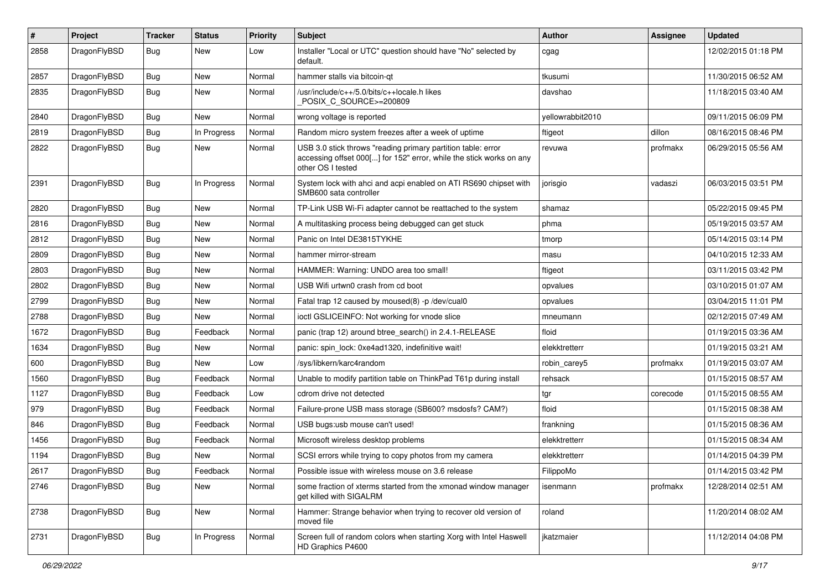| $\sharp$ | Project      | <b>Tracker</b> | <b>Status</b> | <b>Priority</b> | Subject                                                                                                                                                  | Author           | Assignee | <b>Updated</b>      |
|----------|--------------|----------------|---------------|-----------------|----------------------------------------------------------------------------------------------------------------------------------------------------------|------------------|----------|---------------------|
| 2858     | DragonFlyBSD | Bug            | <b>New</b>    | Low             | Installer "Local or UTC" question should have "No" selected by<br>default.                                                                               | cgag             |          | 12/02/2015 01:18 PM |
| 2857     | DragonFlyBSD | <b>Bug</b>     | <b>New</b>    | Normal          | hammer stalls via bitcoin-qt                                                                                                                             | tkusumi          |          | 11/30/2015 06:52 AM |
| 2835     | DragonFlyBSD | <b>Bug</b>     | New           | Normal          | /usr/include/c++/5.0/bits/c++locale.h likes<br>POSIX_C_SOURCE>=200809                                                                                    | davshao          |          | 11/18/2015 03:40 AM |
| 2840     | DragonFlyBSD | <b>Bug</b>     | <b>New</b>    | Normal          | wrong voltage is reported                                                                                                                                | yellowrabbit2010 |          | 09/11/2015 06:09 PM |
| 2819     | DragonFlyBSD | <b>Bug</b>     | In Progress   | Normal          | Random micro system freezes after a week of uptime                                                                                                       | ftigeot          | dillon   | 08/16/2015 08:46 PM |
| 2822     | DragonFlyBSD | <b>Bug</b>     | New           | Normal          | USB 3.0 stick throws "reading primary partition table: error<br>accessing offset 000[] for 152" error, while the stick works on any<br>other OS I tested | revuwa           | profmakx | 06/29/2015 05:56 AM |
| 2391     | DragonFlyBSD | Bug            | In Progress   | Normal          | System lock with ahci and acpi enabled on ATI RS690 chipset with<br>SMB600 sata controller                                                               | jorisgio         | vadaszi  | 06/03/2015 03:51 PM |
| 2820     | DragonFlyBSD | <b>Bug</b>     | <b>New</b>    | Normal          | TP-Link USB Wi-Fi adapter cannot be reattached to the system                                                                                             | shamaz           |          | 05/22/2015 09:45 PM |
| 2816     | DragonFlyBSD | <b>Bug</b>     | <b>New</b>    | Normal          | A multitasking process being debugged can get stuck                                                                                                      | phma             |          | 05/19/2015 03:57 AM |
| 2812     | DragonFlyBSD | <b>Bug</b>     | <b>New</b>    | Normal          | Panic on Intel DE3815TYKHE                                                                                                                               | tmorp            |          | 05/14/2015 03:14 PM |
| 2809     | DragonFlyBSD | <b>Bug</b>     | <b>New</b>    | Normal          | hammer mirror-stream                                                                                                                                     | masu             |          | 04/10/2015 12:33 AM |
| 2803     | DragonFlyBSD | <b>Bug</b>     | New           | Normal          | HAMMER: Warning: UNDO area too small!                                                                                                                    | ftigeot          |          | 03/11/2015 03:42 PM |
| 2802     | DragonFlyBSD | <b>Bug</b>     | New           | Normal          | USB Wifi urtwn0 crash from cd boot                                                                                                                       | opvalues         |          | 03/10/2015 01:07 AM |
| 2799     | DragonFlyBSD | Bug            | <b>New</b>    | Normal          | Fatal trap 12 caused by moused(8) -p/dev/cual0                                                                                                           | opvalues         |          | 03/04/2015 11:01 PM |
| 2788     | DragonFlyBSD | <b>Bug</b>     | New           | Normal          | ioctl GSLICEINFO: Not working for vnode slice                                                                                                            | mneumann         |          | 02/12/2015 07:49 AM |
| 1672     | DragonFlyBSD | <b>Bug</b>     | Feedback      | Normal          | panic (trap 12) around btree_search() in 2.4.1-RELEASE                                                                                                   | floid            |          | 01/19/2015 03:36 AM |
| 1634     | DragonFlyBSD | <b>Bug</b>     | New           | Normal          | panic: spin lock: 0xe4ad1320, indefinitive wait!                                                                                                         | elekktretterr    |          | 01/19/2015 03:21 AM |
| 600      | DragonFlyBSD | <b>Bug</b>     | New           | Low             | /sys/libkern/karc4random                                                                                                                                 | robin_carey5     | profmakx | 01/19/2015 03:07 AM |
| 1560     | DragonFlyBSD | Bug            | Feedback      | Normal          | Unable to modify partition table on ThinkPad T61p during install                                                                                         | rehsack          |          | 01/15/2015 08:57 AM |
| 1127     | DragonFlyBSD | <b>Bug</b>     | Feedback      | Low             | cdrom drive not detected                                                                                                                                 | tgr              | corecode | 01/15/2015 08:55 AM |
| 979      | DragonFlyBSD | <b>Bug</b>     | Feedback      | Normal          | Failure-prone USB mass storage (SB600? msdosfs? CAM?)                                                                                                    | floid            |          | 01/15/2015 08:38 AM |
| 846      | DragonFlyBSD | Bug            | Feedback      | Normal          | USB bugs:usb mouse can't used!                                                                                                                           | frankning        |          | 01/15/2015 08:36 AM |
| 1456     | DragonFlyBSD | <b>Bug</b>     | Feedback      | Normal          | Microsoft wireless desktop problems                                                                                                                      | elekktretterr    |          | 01/15/2015 08:34 AM |
| 1194     | DragonFlyBSD | <b>Bug</b>     | New           | Normal          | SCSI errors while trying to copy photos from my camera                                                                                                   | elekktretterr    |          | 01/14/2015 04:39 PM |
| 2617     | DragonFlyBSD | <b>Bug</b>     | Feedback      | Normal          | Possible issue with wireless mouse on 3.6 release                                                                                                        | FilippoMo        |          | 01/14/2015 03:42 PM |
| 2746     | DragonFlyBSD | <b>Bug</b>     | New           | Normal          | some fraction of xterms started from the xmonad window manager<br>get killed with SIGALRM                                                                | isenmann         | profmakx | 12/28/2014 02:51 AM |
| 2738     | DragonFlyBSD | <b>Bug</b>     | New           | Normal          | Hammer: Strange behavior when trying to recover old version of<br>moved file                                                                             | roland           |          | 11/20/2014 08:02 AM |
| 2731     | DragonFlyBSD | <b>Bug</b>     | In Progress   | Normal          | Screen full of random colors when starting Xorg with Intel Haswell<br>HD Graphics P4600                                                                  | jkatzmaier       |          | 11/12/2014 04:08 PM |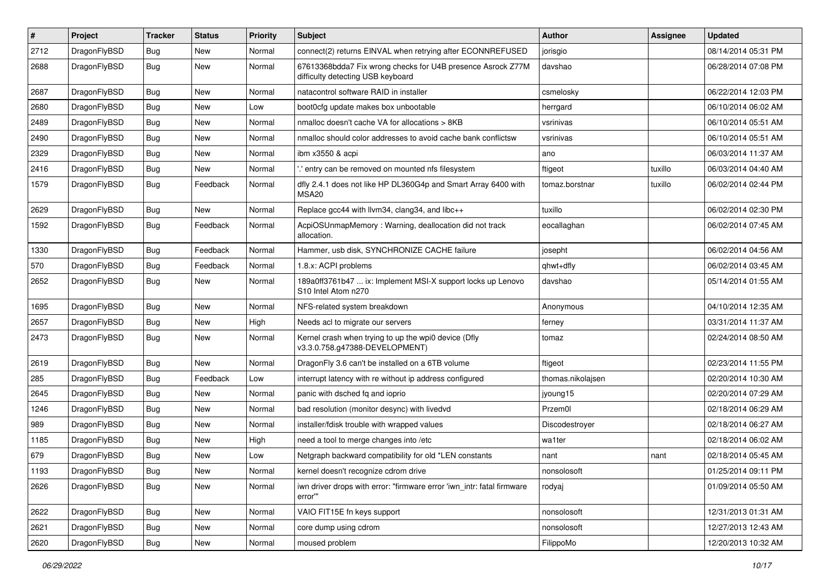| #    | Project      | <b>Tracker</b> | <b>Status</b> | <b>Priority</b> | Subject                                                                                          | Author            | Assignee | <b>Updated</b>      |
|------|--------------|----------------|---------------|-----------------|--------------------------------------------------------------------------------------------------|-------------------|----------|---------------------|
| 2712 | DragonFlyBSD | <b>Bug</b>     | New           | Normal          | connect(2) returns EINVAL when retrying after ECONNREFUSED                                       | jorisgio          |          | 08/14/2014 05:31 PM |
| 2688 | DragonFlyBSD | Bug            | New           | Normal          | 67613368bdda7 Fix wrong checks for U4B presence Asrock Z77M<br>difficulty detecting USB keyboard | davshao           |          | 06/28/2014 07:08 PM |
| 2687 | DragonFlyBSD | Bug            | <b>New</b>    | Normal          | natacontrol software RAID in installer                                                           | csmelosky         |          | 06/22/2014 12:03 PM |
| 2680 | DragonFlyBSD | <b>Bug</b>     | <b>New</b>    | Low             | boot0cfg update makes box unbootable                                                             | herrgard          |          | 06/10/2014 06:02 AM |
| 2489 | DragonFlyBSD | <b>Bug</b>     | New           | Normal          | nmalloc doesn't cache VA for allocations > 8KB                                                   | vsrinivas         |          | 06/10/2014 05:51 AM |
| 2490 | DragonFlyBSD | Bug            | <b>New</b>    | Normal          | nmalloc should color addresses to avoid cache bank conflictsw                                    | vsrinivas         |          | 06/10/2014 05:51 AM |
| 2329 | DragonFlyBSD | <b>Bug</b>     | New           | Normal          | ibm x3550 & acpi                                                                                 | ano               |          | 06/03/2014 11:37 AM |
| 2416 | DragonFlyBSD | Bug            | <b>New</b>    | Normal          | ' entry can be removed on mounted nfs filesystem                                                 | ftigeot           | tuxillo  | 06/03/2014 04:40 AM |
| 1579 | DragonFlyBSD | Bug            | Feedback      | Normal          | dfly 2.4.1 does not like HP DL360G4p and Smart Array 6400 with<br>MSA <sub>20</sub>              | tomaz.borstnar    | tuxillo  | 06/02/2014 02:44 PM |
| 2629 | DragonFlyBSD | Bug            | New           | Normal          | Replace gcc44 with llvm34, clang34, and libc++                                                   | tuxillo           |          | 06/02/2014 02:30 PM |
| 1592 | DragonFlyBSD | <b>Bug</b>     | Feedback      | Normal          | AcpiOSUnmapMemory: Warning, deallocation did not track<br>allocation.                            | eocallaghan       |          | 06/02/2014 07:45 AM |
| 1330 | DragonFlyBSD | Bug            | Feedback      | Normal          | Hammer, usb disk, SYNCHRONIZE CACHE failure                                                      | josepht           |          | 06/02/2014 04:56 AM |
| 570  | DragonFlyBSD | <b>Bug</b>     | Feedback      | Normal          | 1.8.x: ACPI problems                                                                             | qhwt+dfly         |          | 06/02/2014 03:45 AM |
| 2652 | DragonFlyBSD | Bug            | New           | Normal          | 189a0ff3761b47  ix: Implement MSI-X support locks up Lenovo<br>S10 Intel Atom n270               | davshao           |          | 05/14/2014 01:55 AM |
| 1695 | DragonFlyBSD | <b>Bug</b>     | <b>New</b>    | Normal          | NFS-related system breakdown                                                                     | Anonymous         |          | 04/10/2014 12:35 AM |
| 2657 | DragonFlyBSD | <b>Bug</b>     | New           | High            | Needs acl to migrate our servers                                                                 | ferney            |          | 03/31/2014 11:37 AM |
| 2473 | DragonFlyBSD | Bug            | <b>New</b>    | Normal          | Kernel crash when trying to up the wpi0 device (Dfly<br>v3.3.0.758.g47388-DEVELOPMENT)           | tomaz             |          | 02/24/2014 08:50 AM |
| 2619 | DragonFlyBSD | Bug            | <b>New</b>    | Normal          | DragonFly 3.6 can't be installed on a 6TB volume                                                 | ftigeot           |          | 02/23/2014 11:55 PM |
| 285  | DragonFlyBSD | Bug            | Feedback      | Low             | interrupt latency with re without ip address configured                                          | thomas.nikolajsen |          | 02/20/2014 10:30 AM |
| 2645 | DragonFlyBSD | Bug            | <b>New</b>    | Normal          | panic with dsched fq and ioprio                                                                  | jyoung15          |          | 02/20/2014 07:29 AM |
| 1246 | DragonFlyBSD | Bug            | <b>New</b>    | Normal          | bad resolution (monitor desync) with livedvd                                                     | Przem0l           |          | 02/18/2014 06:29 AM |
| 989  | DragonFlyBSD | Bug            | New           | Normal          | installer/fdisk trouble with wrapped values                                                      | Discodestrover    |          | 02/18/2014 06:27 AM |
| 1185 | DragonFlyBSD | Bug            | <b>New</b>    | High            | need a tool to merge changes into /etc                                                           | wa1ter            |          | 02/18/2014 06:02 AM |
| 679  | DragonFlyBSD | <b>Bug</b>     | New           | Low             | Netgraph backward compatibility for old *LEN constants                                           | nant              | nant     | 02/18/2014 05:45 AM |
| 1193 | DragonFlyBSD | Bug            | New           | Normal          | kernel doesn't recognize cdrom drive                                                             | nonsolosoft       |          | 01/25/2014 09:11 PM |
| 2626 | DragonFlyBSD | Bug            | New           | Normal          | iwn driver drops with error: "firmware error 'iwn_intr: fatal firmware<br>error""                | rodyaj            |          | 01/09/2014 05:50 AM |
| 2622 | DragonFlyBSD | <b>Bug</b>     | New           | Normal          | VAIO FIT15E fn keys support                                                                      | nonsolosoft       |          | 12/31/2013 01:31 AM |
| 2621 | DragonFlyBSD | Bug            | New           | Normal          | core dump using cdrom                                                                            | nonsolosoft       |          | 12/27/2013 12:43 AM |
| 2620 | DragonFlyBSD | Bug            | New           | Normal          | moused problem                                                                                   | FilippoMo         |          | 12/20/2013 10:32 AM |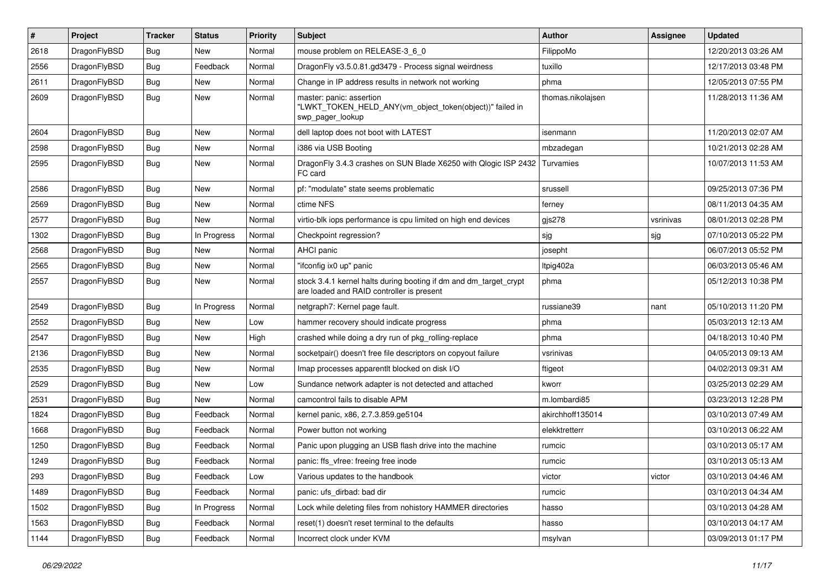| $\sharp$ | Project      | <b>Tracker</b> | <b>Status</b> | <b>Priority</b> | Subject                                                                                                        | Author            | <b>Assignee</b> | <b>Updated</b>      |
|----------|--------------|----------------|---------------|-----------------|----------------------------------------------------------------------------------------------------------------|-------------------|-----------------|---------------------|
| 2618     | DragonFlyBSD | <b>Bug</b>     | <b>New</b>    | Normal          | mouse problem on RELEASE-3_6_0                                                                                 | FilippoMo         |                 | 12/20/2013 03:26 AM |
| 2556     | DragonFlyBSD | <b>Bug</b>     | Feedback      | Normal          | DragonFly v3.5.0.81.gd3479 - Process signal weirdness                                                          | tuxillo           |                 | 12/17/2013 03:48 PM |
| 2611     | DragonFlyBSD | <b>Bug</b>     | New           | Normal          | Change in IP address results in network not working                                                            | phma              |                 | 12/05/2013 07:55 PM |
| 2609     | DragonFlyBSD | <b>Bug</b>     | <b>New</b>    | Normal          | master: panic: assertion<br>"LWKT_TOKEN_HELD_ANY(vm_object_token(object))" failed in<br>swp pager lookup       | thomas.nikolajsen |                 | 11/28/2013 11:36 AM |
| 2604     | DragonFlyBSD | <b>Bug</b>     | <b>New</b>    | Normal          | dell laptop does not boot with LATEST                                                                          | isenmann          |                 | 11/20/2013 02:07 AM |
| 2598     | DragonFlyBSD | <b>Bug</b>     | New           | Normal          | i386 via USB Booting                                                                                           | mbzadegan         |                 | 10/21/2013 02:28 AM |
| 2595     | DragonFlyBSD | <b>Bug</b>     | New           | Normal          | DragonFly 3.4.3 crashes on SUN Blade X6250 with Qlogic ISP 2432<br>FC card                                     | Turvamies         |                 | 10/07/2013 11:53 AM |
| 2586     | DragonFlyBSD | <b>Bug</b>     | New           | Normal          | pf: "modulate" state seems problematic                                                                         | srussell          |                 | 09/25/2013 07:36 PM |
| 2569     | DragonFlyBSD | <b>Bug</b>     | <b>New</b>    | Normal          | ctime NFS                                                                                                      | ferney            |                 | 08/11/2013 04:35 AM |
| 2577     | DragonFlyBSD | <b>Bug</b>     | <b>New</b>    | Normal          | virtio-blk iops performance is cpu limited on high end devices                                                 | $g$ js $278$      | vsrinivas       | 08/01/2013 02:28 PM |
| 1302     | DragonFlyBSD | <b>Bug</b>     | In Progress   | Normal          | Checkpoint regression?                                                                                         | sjg               | sjg             | 07/10/2013 05:22 PM |
| 2568     | DragonFlyBSD | <b>Bug</b>     | <b>New</b>    | Normal          | AHCI panic                                                                                                     | josepht           |                 | 06/07/2013 05:52 PM |
| 2565     | DragonFlyBSD | <b>Bug</b>     | <b>New</b>    | Normal          | "ifconfig ix0 up" panic                                                                                        | Itpig402a         |                 | 06/03/2013 05:46 AM |
| 2557     | DragonFlyBSD | <b>Bug</b>     | New           | Normal          | stock 3.4.1 kernel halts during booting if dm and dm_target_crypt<br>are loaded and RAID controller is present | phma              |                 | 05/12/2013 10:38 PM |
| 2549     | DragonFlyBSD | <b>Bug</b>     | In Progress   | Normal          | netgraph7: Kernel page fault.                                                                                  | russiane39        | nant            | 05/10/2013 11:20 PM |
| 2552     | DragonFlyBSD | <b>Bug</b>     | <b>New</b>    | Low             | hammer recovery should indicate progress                                                                       | phma              |                 | 05/03/2013 12:13 AM |
| 2547     | DragonFlyBSD | <b>Bug</b>     | New           | High            | crashed while doing a dry run of pkg_rolling-replace                                                           | phma              |                 | 04/18/2013 10:40 PM |
| 2136     | DragonFlyBSD | <b>Bug</b>     | <b>New</b>    | Normal          | socketpair() doesn't free file descriptors on copyout failure                                                  | vsrinivas         |                 | 04/05/2013 09:13 AM |
| 2535     | DragonFlyBSD | Bug            | New           | Normal          | Imap processes apparentlt blocked on disk I/O                                                                  | ftigeot           |                 | 04/02/2013 09:31 AM |
| 2529     | DragonFlyBSD | <b>Bug</b>     | <b>New</b>    | Low             | Sundance network adapter is not detected and attached                                                          | kworr             |                 | 03/25/2013 02:29 AM |
| 2531     | DragonFlyBSD | <b>Bug</b>     | New           | Normal          | camcontrol fails to disable APM                                                                                | m.lombardi85      |                 | 03/23/2013 12:28 PM |
| 1824     | DragonFlyBSD | <b>Bug</b>     | Feedback      | Normal          | kernel panic, x86, 2.7.3.859.ge5104                                                                            | akirchhoff135014  |                 | 03/10/2013 07:49 AM |
| 1668     | DragonFlyBSD | <b>Bug</b>     | Feedback      | Normal          | Power button not working                                                                                       | elekktretterr     |                 | 03/10/2013 06:22 AM |
| 1250     | DragonFlyBSD | <b>Bug</b>     | Feedback      | Normal          | Panic upon plugging an USB flash drive into the machine                                                        | rumcic            |                 | 03/10/2013 05:17 AM |
| 1249     | DragonFlyBSD | <b>Bug</b>     | Feedback      | Normal          | panic: ffs vfree: freeing free inode                                                                           | rumcic            |                 | 03/10/2013 05:13 AM |
| 293      | DragonFlyBSD | <b>Bug</b>     | Feedback      | Low             | Various updates to the handbook                                                                                | victor            | victor          | 03/10/2013 04:46 AM |
| 1489     | DragonFlyBSD | <b>Bug</b>     | Feedback      | Normal          | panic: ufs_dirbad: bad dir                                                                                     | rumcic            |                 | 03/10/2013 04:34 AM |
| 1502     | DragonFlyBSD | <b>Bug</b>     | In Progress   | Normal          | Lock while deleting files from nohistory HAMMER directories                                                    | hasso             |                 | 03/10/2013 04:28 AM |
| 1563     | DragonFlyBSD | <b>Bug</b>     | Feedback      | Normal          | reset(1) doesn't reset terminal to the defaults                                                                | hasso             |                 | 03/10/2013 04:17 AM |
| 1144     | DragonFlyBSD | <b>Bug</b>     | Feedback      | Normal          | Incorrect clock under KVM                                                                                      | msylvan           |                 | 03/09/2013 01:17 PM |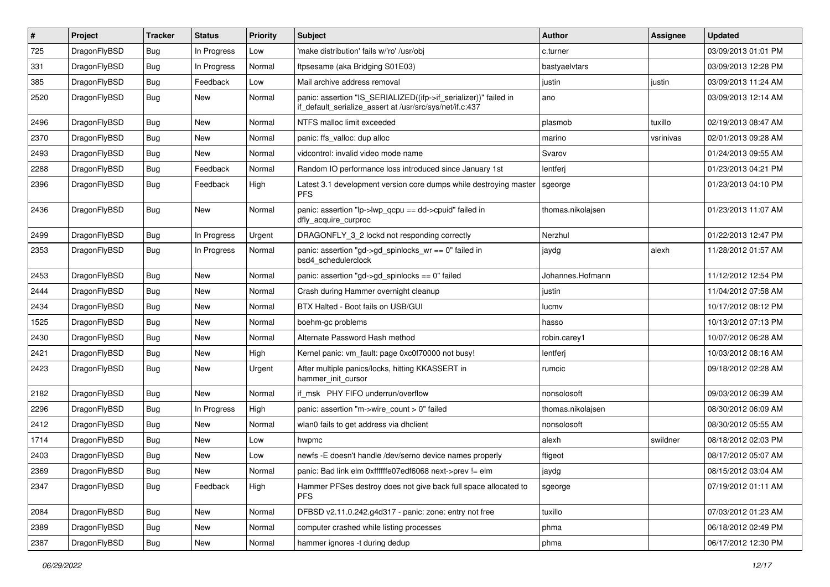| $\pmb{\#}$ | Project      | <b>Tracker</b> | <b>Status</b> | <b>Priority</b> | Subject                                                                                                                      | Author            | Assignee  | <b>Updated</b>      |
|------------|--------------|----------------|---------------|-----------------|------------------------------------------------------------------------------------------------------------------------------|-------------------|-----------|---------------------|
| 725        | DragonFlyBSD | <b>Bug</b>     | In Progress   | Low             | 'make distribution' fails w/'ro' /usr/obj                                                                                    | c.turner          |           | 03/09/2013 01:01 PM |
| 331        | DragonFlyBSD | <b>Bug</b>     | In Progress   | Normal          | ftpsesame (aka Bridging S01E03)                                                                                              | bastyaelvtars     |           | 03/09/2013 12:28 PM |
| 385        | DragonFlyBSD | <b>Bug</b>     | Feedback      | Low             | Mail archive address removal                                                                                                 | justin            | justin    | 03/09/2013 11:24 AM |
| 2520       | DragonFlyBSD | Bug            | New           | Normal          | panic: assertion "IS_SERIALIZED((ifp->if_serializer))" failed in<br>if_default_serialize_assert at /usr/src/sys/net/if.c:437 | ano               |           | 03/09/2013 12:14 AM |
| 2496       | DragonFlyBSD | <b>Bug</b>     | <b>New</b>    | Normal          | NTFS malloc limit exceeded                                                                                                   | plasmob           | tuxillo   | 02/19/2013 08:47 AM |
| 2370       | DragonFlyBSD | <b>Bug</b>     | <b>New</b>    | Normal          | panic: ffs_valloc: dup alloc                                                                                                 | marino            | vsrinivas | 02/01/2013 09:28 AM |
| 2493       | DragonFlyBSD | <b>Bug</b>     | <b>New</b>    | Normal          | vidcontrol: invalid video mode name                                                                                          | Svarov            |           | 01/24/2013 09:55 AM |
| 2288       | DragonFlyBSD | Bug            | Feedback      | Normal          | Random IO performance loss introduced since January 1st                                                                      | lentferj          |           | 01/23/2013 04:21 PM |
| 2396       | DragonFlyBSD | Bug            | Feedback      | High            | Latest 3.1 development version core dumps while destroying master<br><b>PFS</b>                                              | sgeorge           |           | 01/23/2013 04:10 PM |
| 2436       | DragonFlyBSD | Bug            | <b>New</b>    | Normal          | panic: assertion "lp->lwp_qcpu == dd->cpuid" failed in<br>dfly acquire curproc                                               | thomas.nikolajsen |           | 01/23/2013 11:07 AM |
| 2499       | DragonFlyBSD | <b>Bug</b>     | In Progress   | Urgent          | DRAGONFLY_3_2 lockd not responding correctly                                                                                 | Nerzhul           |           | 01/22/2013 12:47 PM |
| 2353       | DragonFlyBSD | <b>Bug</b>     | In Progress   | Normal          | panic: assertion "gd->gd_spinlocks_wr == 0" failed in<br>bsd4 schedulerclock                                                 | jaydg             | alexh     | 11/28/2012 01:57 AM |
| 2453       | DragonFlyBSD | Bug            | <b>New</b>    | Normal          | panic: assertion "gd->gd_spinlocks == 0" failed                                                                              | Johannes.Hofmann  |           | 11/12/2012 12:54 PM |
| 2444       | DragonFlyBSD | <b>Bug</b>     | <b>New</b>    | Normal          | Crash during Hammer overnight cleanup                                                                                        | justin            |           | 11/04/2012 07:58 AM |
| 2434       | DragonFlyBSD | <b>Bug</b>     | <b>New</b>    | Normal          | BTX Halted - Boot fails on USB/GUI                                                                                           | lucmv             |           | 10/17/2012 08:12 PM |
| 1525       | DragonFlyBSD | Bug            | <b>New</b>    | Normal          | boehm-gc problems                                                                                                            | hasso             |           | 10/13/2012 07:13 PM |
| 2430       | DragonFlyBSD | <b>Bug</b>     | <b>New</b>    | Normal          | Alternate Password Hash method                                                                                               | robin.carey1      |           | 10/07/2012 06:28 AM |
| 2421       | DragonFlyBSD | <b>Bug</b>     | <b>New</b>    | High            | Kernel panic: vm_fault: page 0xc0f70000 not busy!                                                                            | lentferj          |           | 10/03/2012 08:16 AM |
| 2423       | DragonFlyBSD | <b>Bug</b>     | <b>New</b>    | Urgent          | After multiple panics/locks, hitting KKASSERT in<br>hammer init cursor                                                       | rumcic            |           | 09/18/2012 02:28 AM |
| 2182       | DragonFlyBSD | Bug            | <b>New</b>    | Normal          | if msk PHY FIFO underrun/overflow                                                                                            | nonsolosoft       |           | 09/03/2012 06:39 AM |
| 2296       | DragonFlyBSD | <b>Bug</b>     | In Progress   | High            | panic: assertion "m->wire count > 0" failed                                                                                  | thomas.nikolajsen |           | 08/30/2012 06:09 AM |
| 2412       | DragonFlyBSD | <b>Bug</b>     | New           | Normal          | wlan0 fails to get address via dhclient                                                                                      | nonsolosoft       |           | 08/30/2012 05:55 AM |
| 1714       | DragonFlyBSD | Bug            | <b>New</b>    | Low             | hwpmc                                                                                                                        | alexh             | swildner  | 08/18/2012 02:03 PM |
| 2403       | DragonFlyBSD | <b>Bug</b>     | New           | Low             | newfs -E doesn't handle /dev/serno device names properly                                                                     | ftigeot           |           | 08/17/2012 05:07 AM |
| 2369       | DragonFlyBSD | Bug            | New           | Normal          | panic: Bad link elm 0xffffffe07edf6068 next->prev != elm                                                                     | jaydg             |           | 08/15/2012 03:04 AM |
| 2347       | DragonFlyBSD | Bug            | Feedback      | High            | Hammer PFSes destroy does not give back full space allocated to<br><b>PFS</b>                                                | sgeorge           |           | 07/19/2012 01:11 AM |
| 2084       | DragonFlyBSD | <b>Bug</b>     | New           | Normal          | DFBSD v2.11.0.242.g4d317 - panic: zone: entry not free                                                                       | tuxillo           |           | 07/03/2012 01:23 AM |
| 2389       | DragonFlyBSD | Bug            | New           | Normal          | computer crashed while listing processes                                                                                     | phma              |           | 06/18/2012 02:49 PM |
| 2387       | DragonFlyBSD | <b>Bug</b>     | New           | Normal          | hammer ignores -t during dedup                                                                                               | phma              |           | 06/17/2012 12:30 PM |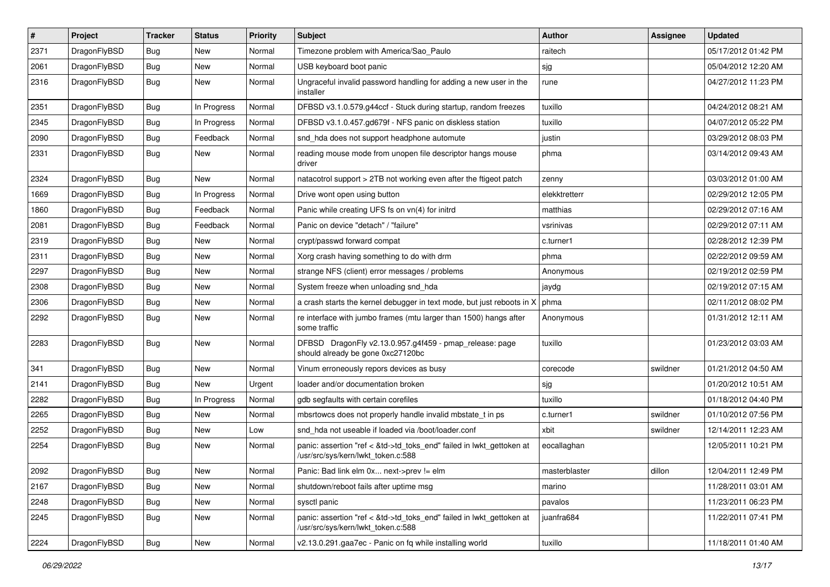| $\sharp$ | Project      | <b>Tracker</b> | <b>Status</b> | <b>Priority</b> | Subject                                                                                                    | Author        | <b>Assignee</b> | <b>Updated</b>      |
|----------|--------------|----------------|---------------|-----------------|------------------------------------------------------------------------------------------------------------|---------------|-----------------|---------------------|
| 2371     | DragonFlyBSD | <b>Bug</b>     | New           | Normal          | Timezone problem with America/Sao_Paulo                                                                    | raitech       |                 | 05/17/2012 01:42 PM |
| 2061     | DragonFlyBSD | Bug            | <b>New</b>    | Normal          | USB keyboard boot panic                                                                                    | sjg           |                 | 05/04/2012 12:20 AM |
| 2316     | DragonFlyBSD | Bug            | New           | Normal          | Ungraceful invalid password handling for adding a new user in the<br>installer                             | rune          |                 | 04/27/2012 11:23 PM |
| 2351     | DragonFlyBSD | Bug            | In Progress   | Normal          | DFBSD v3.1.0.579.g44ccf - Stuck during startup, random freezes                                             | tuxillo       |                 | 04/24/2012 08:21 AM |
| 2345     | DragonFlyBSD | <b>Bug</b>     | In Progress   | Normal          | DFBSD v3.1.0.457.gd679f - NFS panic on diskless station                                                    | tuxillo       |                 | 04/07/2012 05:22 PM |
| 2090     | DragonFlyBSD | Bug            | Feedback      | Normal          | snd_hda does not support headphone automute                                                                | justin        |                 | 03/29/2012 08:03 PM |
| 2331     | DragonFlyBSD | <b>Bug</b>     | <b>New</b>    | Normal          | reading mouse mode from unopen file descriptor hangs mouse<br>driver                                       | phma          |                 | 03/14/2012 09:43 AM |
| 2324     | DragonFlyBSD | Bug            | <b>New</b>    | Normal          | natacotrol support > 2TB not working even after the ftigeot patch                                          | zenny         |                 | 03/03/2012 01:00 AM |
| 1669     | DragonFlyBSD | <b>Bug</b>     | In Progress   | Normal          | Drive wont open using button                                                                               | elekktretterr |                 | 02/29/2012 12:05 PM |
| 1860     | DragonFlyBSD | <b>Bug</b>     | Feedback      | Normal          | Panic while creating UFS fs on vn(4) for initrd                                                            | matthias      |                 | 02/29/2012 07:16 AM |
| 2081     | DragonFlyBSD | <b>Bug</b>     | Feedback      | Normal          | Panic on device "detach" / "failure"                                                                       | vsrinivas     |                 | 02/29/2012 07:11 AM |
| 2319     | DragonFlyBSD | <b>Bug</b>     | New           | Normal          | crypt/passwd forward compat                                                                                | c.turner1     |                 | 02/28/2012 12:39 PM |
| 2311     | DragonFlyBSD | Bug            | New           | Normal          | Xorg crash having something to do with drm                                                                 | phma          |                 | 02/22/2012 09:59 AM |
| 2297     | DragonFlyBSD | <b>Bug</b>     | <b>New</b>    | Normal          | strange NFS (client) error messages / problems                                                             | Anonymous     |                 | 02/19/2012 02:59 PM |
| 2308     | DragonFlyBSD | <b>Bug</b>     | <b>New</b>    | Normal          | System freeze when unloading snd hda                                                                       | jaydg         |                 | 02/19/2012 07:15 AM |
| 2306     | DragonFlyBSD | <b>Bug</b>     | <b>New</b>    | Normal          | a crash starts the kernel debugger in text mode, but just reboots in X                                     | phma          |                 | 02/11/2012 08:02 PM |
| 2292     | DragonFlyBSD | <b>Bug</b>     | New           | Normal          | re interface with jumbo frames (mtu larger than 1500) hangs after<br>some traffic                          | Anonymous     |                 | 01/31/2012 12:11 AM |
| 2283     | DragonFlyBSD | Bug            | <b>New</b>    | Normal          | DFBSD DragonFly v2.13.0.957.g4f459 - pmap_release: page<br>should already be gone 0xc27120bc               | tuxillo       |                 | 01/23/2012 03:03 AM |
| 341      | DragonFlyBSD | Bug            | New           | Normal          | Vinum erroneously repors devices as busy                                                                   | corecode      | swildner        | 01/21/2012 04:50 AM |
| 2141     | DragonFlyBSD | <b>Bug</b>     | <b>New</b>    | Urgent          | loader and/or documentation broken                                                                         | sjg           |                 | 01/20/2012 10:51 AM |
| 2282     | DragonFlyBSD | <b>Bug</b>     | In Progress   | Normal          | gdb segfaults with certain corefiles                                                                       | tuxillo       |                 | 01/18/2012 04:40 PM |
| 2265     | DragonFlyBSD | <b>Bug</b>     | New           | Normal          | mbsrtowcs does not properly handle invalid mbstate_t in ps                                                 | c.turner1     | swildner        | 01/10/2012 07:56 PM |
| 2252     | DragonFlyBSD | <b>Bug</b>     | New           | Low             | snd hda not useable if loaded via /boot/loader.conf                                                        | xbit          | swildner        | 12/14/2011 12:23 AM |
| 2254     | DragonFlyBSD | <b>Bug</b>     | New           | Normal          | panic: assertion "ref < &td->td_toks_end" failed in lwkt_gettoken at<br>/usr/src/sys/kern/lwkt_token.c:588 | eocallaghan   |                 | 12/05/2011 10:21 PM |
| 2092     | DragonFlyBSD | <b>Bug</b>     | New           | Normal          | Panic: Bad link elm 0x next->prev != elm                                                                   | masterblaster | dillon          | 12/04/2011 12:49 PM |
| 2167     | DragonFlyBSD | <b>Bug</b>     | <b>New</b>    | Normal          | shutdown/reboot fails after uptime msg                                                                     | marino        |                 | 11/28/2011 03:01 AM |
| 2248     | DragonFlyBSD | <b>Bug</b>     | New           | Normal          | sysctl panic                                                                                               | pavalos       |                 | 11/23/2011 06:23 PM |
| 2245     | DragonFlyBSD | Bug            | New           | Normal          | panic: assertion "ref < &td->td toks end" failed in lwkt gettoken at<br>/usr/src/sys/kern/lwkt token.c:588 | juanfra684    |                 | 11/22/2011 07:41 PM |
| 2224     | DragonFlyBSD | <b>Bug</b>     | New           | Normal          | v2.13.0.291.gaa7ec - Panic on fq while installing world                                                    | tuxillo       |                 | 11/18/2011 01:40 AM |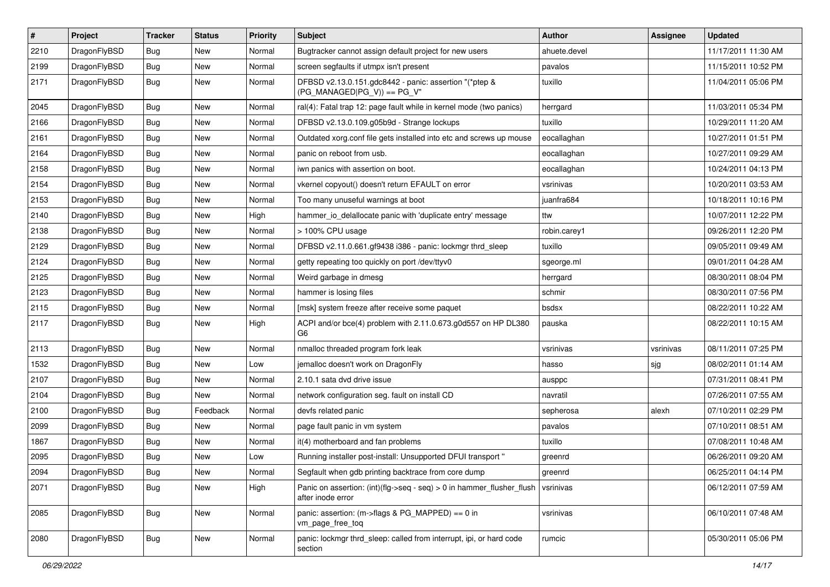| $\sharp$ | Project      | <b>Tracker</b> | <b>Status</b> | <b>Priority</b> | Subject                                                                                    | Author       | Assignee  | <b>Updated</b>      |
|----------|--------------|----------------|---------------|-----------------|--------------------------------------------------------------------------------------------|--------------|-----------|---------------------|
| 2210     | DragonFlyBSD | <b>Bug</b>     | New           | Normal          | Bugtracker cannot assign default project for new users                                     | ahuete.devel |           | 11/17/2011 11:30 AM |
| 2199     | DragonFlyBSD | <b>Bug</b>     | New           | Normal          | screen segfaults if utmpx isn't present                                                    | pavalos      |           | 11/15/2011 10:52 PM |
| 2171     | DragonFlyBSD | <b>Bug</b>     | New           | Normal          | DFBSD v2.13.0.151.gdc8442 - panic: assertion "(*ptep &<br>(PG MANAGED PG V)) == PG V"      | tuxillo      |           | 11/04/2011 05:06 PM |
| 2045     | DragonFlyBSD | <b>Bug</b>     | <b>New</b>    | Normal          | ral(4): Fatal trap 12: page fault while in kernel mode (two panics)                        | herrgard     |           | 11/03/2011 05:34 PM |
| 2166     | DragonFlyBSD | <b>Bug</b>     | New           | Normal          | DFBSD v2.13.0.109.g05b9d - Strange lockups                                                 | tuxillo      |           | 10/29/2011 11:20 AM |
| 2161     | DragonFlyBSD | <b>Bug</b>     | New           | Normal          | Outdated xorg.conf file gets installed into etc and screws up mouse                        | eocallaghan  |           | 10/27/2011 01:51 PM |
| 2164     | DragonFlyBSD | <b>Bug</b>     | <b>New</b>    | Normal          | panic on reboot from usb.                                                                  | eocallaghan  |           | 10/27/2011 09:29 AM |
| 2158     | DragonFlyBSD | <b>Bug</b>     | New           | Normal          | iwn panics with assertion on boot.                                                         | eocallaghan  |           | 10/24/2011 04:13 PM |
| 2154     | DragonFlyBSD | <b>Bug</b>     | <b>New</b>    | Normal          | vkernel copyout() doesn't return EFAULT on error                                           | vsrinivas    |           | 10/20/2011 03:53 AM |
| 2153     | DragonFlyBSD | <b>Bug</b>     | New           | Normal          | Too many unuseful warnings at boot                                                         | juanfra684   |           | 10/18/2011 10:16 PM |
| 2140     | DragonFlyBSD | <b>Bug</b>     | New           | High            | hammer io delallocate panic with 'duplicate entry' message                                 | ttw          |           | 10/07/2011 12:22 PM |
| 2138     | DragonFlyBSD | <b>Bug</b>     | New           | Normal          | > 100% CPU usage                                                                           | robin.carey1 |           | 09/26/2011 12:20 PM |
| 2129     | DragonFlyBSD | <b>Bug</b>     | <b>New</b>    | Normal          | DFBSD v2.11.0.661.gf9438 i386 - panic: lockmgr thrd_sleep                                  | tuxillo      |           | 09/05/2011 09:49 AM |
| 2124     | DragonFlyBSD | <b>Bug</b>     | New           | Normal          | getty repeating too quickly on port /dev/ttyv0                                             | sgeorge.ml   |           | 09/01/2011 04:28 AM |
| 2125     | DragonFlyBSD | <b>Bug</b>     | <b>New</b>    | Normal          | Weird garbage in dmesg                                                                     | herrgard     |           | 08/30/2011 08:04 PM |
| 2123     | DragonFlyBSD | <b>Bug</b>     | New           | Normal          | hammer is losing files                                                                     | schmir       |           | 08/30/2011 07:56 PM |
| 2115     | DragonFlyBSD | <b>Bug</b>     | New           | Normal          | [msk] system freeze after receive some paquet                                              | bsdsx        |           | 08/22/2011 10:22 AM |
| 2117     | DragonFlyBSD | <b>Bug</b>     | <b>New</b>    | High            | ACPI and/or bce(4) problem with 2.11.0.673.g0d557 on HP DL380<br>G <sub>6</sub>            | pauska       |           | 08/22/2011 10:15 AM |
| 2113     | DragonFlyBSD | <b>Bug</b>     | New           | Normal          | nmalloc threaded program fork leak                                                         | vsrinivas    | vsrinivas | 08/11/2011 07:25 PM |
| 1532     | DragonFlyBSD | <b>Bug</b>     | New           | Low             | jemalloc doesn't work on DragonFly                                                         | hasso        | sjg       | 08/02/2011 01:14 AM |
| 2107     | DragonFlyBSD | <b>Bug</b>     | New           | Normal          | 2.10.1 sata dvd drive issue                                                                | ausppc       |           | 07/31/2011 08:41 PM |
| 2104     | DragonFlyBSD | <b>Bug</b>     | New           | Normal          | network configuration seg. fault on install CD                                             | navratil     |           | 07/26/2011 07:55 AM |
| 2100     | DragonFlyBSD | <b>Bug</b>     | Feedback      | Normal          | devfs related panic                                                                        | sepherosa    | alexh     | 07/10/2011 02:29 PM |
| 2099     | DragonFlyBSD | <b>Bug</b>     | New           | Normal          | page fault panic in vm system                                                              | pavalos      |           | 07/10/2011 08:51 AM |
| 1867     | DragonFlyBSD | <b>Bug</b>     | <b>New</b>    | Normal          | it(4) motherboard and fan problems                                                         | tuxillo      |           | 07/08/2011 10:48 AM |
| 2095     | DragonFlyBSD | <b>Bug</b>     | New           | Low             | Running installer post-install: Unsupported DFUI transport "                               | greenrd      |           | 06/26/2011 09:20 AM |
| 2094     | DragonFlyBSD | <b>Bug</b>     | New           | Normal          | Segfault when gdb printing backtrace from core dump                                        | greenrd      |           | 06/25/2011 04:14 PM |
| 2071     | DragonFlyBSD | Bug            | New           | High            | Panic on assertion: (int)(flg->seq - seq) > 0 in hammer_flusher_flush<br>after inode error | vsrinivas    |           | 06/12/2011 07:59 AM |
| 2085     | DragonFlyBSD | <b>Bug</b>     | New           | Normal          | panic: assertion: (m->flags & PG_MAPPED) == 0 in<br>vm_page_free_toq                       | vsrinivas    |           | 06/10/2011 07:48 AM |
| 2080     | DragonFlyBSD | <b>Bug</b>     | New           | Normal          | panic: lockmgr thrd sleep: called from interrupt, ipi, or hard code<br>section             | rumcic       |           | 05/30/2011 05:06 PM |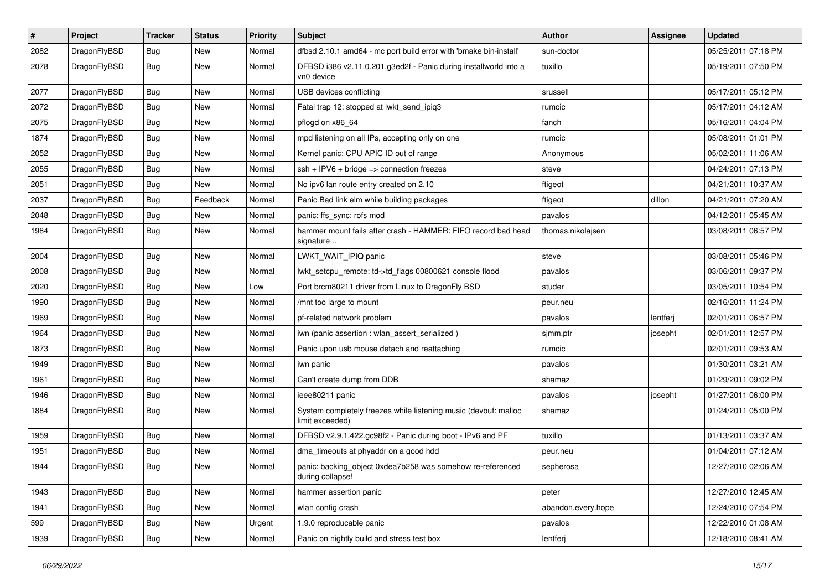| #    | Project      | <b>Tracker</b> | <b>Status</b> | <b>Priority</b> | Subject                                                                            | <b>Author</b>      | Assignee | <b>Updated</b>      |
|------|--------------|----------------|---------------|-----------------|------------------------------------------------------------------------------------|--------------------|----------|---------------------|
| 2082 | DragonFlyBSD | <b>Bug</b>     | <b>New</b>    | Normal          | dfbsd 2.10.1 amd64 - mc port build error with 'bmake bin-install'                  | sun-doctor         |          | 05/25/2011 07:18 PM |
| 2078 | DragonFlyBSD | <b>Bug</b>     | New           | Normal          | DFBSD i386 v2.11.0.201.g3ed2f - Panic during installworld into a<br>vn0 device     | tuxillo            |          | 05/19/2011 07:50 PM |
| 2077 | DragonFlyBSD | <b>Bug</b>     | <b>New</b>    | Normal          | USB devices conflicting                                                            | srussell           |          | 05/17/2011 05:12 PM |
| 2072 | DragonFlyBSD | <b>Bug</b>     | <b>New</b>    | Normal          | Fatal trap 12: stopped at lwkt_send_ipiq3                                          | rumcic             |          | 05/17/2011 04:12 AM |
| 2075 | DragonFlyBSD | <b>Bug</b>     | New           | Normal          | pflogd on x86 64                                                                   | fanch              |          | 05/16/2011 04:04 PM |
| 1874 | DragonFlyBSD | <b>Bug</b>     | <b>New</b>    | Normal          | mpd listening on all IPs, accepting only on one                                    | rumcic             |          | 05/08/2011 01:01 PM |
| 2052 | DragonFlyBSD | <b>Bug</b>     | New           | Normal          | Kernel panic: CPU APIC ID out of range                                             | Anonymous          |          | 05/02/2011 11:06 AM |
| 2055 | DragonFlyBSD | Bug            | New           | Normal          | $ssh + IPV6 + bridge \Rightarrow$ connection freezes                               | steve              |          | 04/24/2011 07:13 PM |
| 2051 | DragonFlyBSD | <b>Bug</b>     | New           | Normal          | No ipv6 lan route entry created on 2.10                                            | ftigeot            |          | 04/21/2011 10:37 AM |
| 2037 | DragonFlyBSD | <b>Bug</b>     | Feedback      | Normal          | Panic Bad link elm while building packages                                         | ftigeot            | dillon   | 04/21/2011 07:20 AM |
| 2048 | DragonFlyBSD | <b>Bug</b>     | <b>New</b>    | Normal          | panic: ffs_sync: rofs mod                                                          | pavalos            |          | 04/12/2011 05:45 AM |
| 1984 | DragonFlyBSD | Bug            | New           | Normal          | hammer mount fails after crash - HAMMER: FIFO record bad head<br>signature         | thomas.nikolajsen  |          | 03/08/2011 06:57 PM |
| 2004 | DragonFlyBSD | <b>Bug</b>     | <b>New</b>    | Normal          | LWKT_WAIT_IPIQ panic                                                               | steve              |          | 03/08/2011 05:46 PM |
| 2008 | DragonFlyBSD | <b>Bug</b>     | New           | Normal          | lwkt setcpu remote: td->td flags 00800621 console flood                            | pavalos            |          | 03/06/2011 09:37 PM |
| 2020 | DragonFlyBSD | <b>Bug</b>     | New           | Low             | Port brcm80211 driver from Linux to DragonFly BSD                                  | studer             |          | 03/05/2011 10:54 PM |
| 1990 | DragonFlyBSD | Bug            | <b>New</b>    | Normal          | /mnt too large to mount                                                            | peur.neu           |          | 02/16/2011 11:24 PM |
| 1969 | DragonFlyBSD | <b>Bug</b>     | New           | Normal          | pf-related network problem                                                         | pavalos            | lentferj | 02/01/2011 06:57 PM |
| 1964 | DragonFlyBSD | <b>Bug</b>     | <b>New</b>    | Normal          | iwn (panic assertion : wlan_assert_serialized)                                     | sjmm.ptr           | josepht  | 02/01/2011 12:57 PM |
| 1873 | DragonFlyBSD | Bug            | <b>New</b>    | Normal          | Panic upon usb mouse detach and reattaching                                        | rumcic             |          | 02/01/2011 09:53 AM |
| 1949 | DragonFlyBSD | <b>Bug</b>     | New           | Normal          | iwn panic                                                                          | pavalos            |          | 01/30/2011 03:21 AM |
| 1961 | DragonFlyBSD | Bug            | <b>New</b>    | Normal          | Can't create dump from DDB                                                         | shamaz             |          | 01/29/2011 09:02 PM |
| 1946 | DragonFlyBSD | <b>Bug</b>     | New           | Normal          | ieee80211 panic                                                                    | pavalos            | josepht  | 01/27/2011 06:00 PM |
| 1884 | DragonFlyBSD | Bug            | <b>New</b>    | Normal          | System completely freezes while listening music (devbuf: malloc<br>limit exceeded) | shamaz             |          | 01/24/2011 05:00 PM |
| 1959 | DragonFlyBSD | Bug            | <b>New</b>    | Normal          | DFBSD v2.9.1.422.gc98f2 - Panic during boot - IPv6 and PF                          | tuxillo            |          | 01/13/2011 03:37 AM |
| 1951 | DragonFlyBSD | <b>Bug</b>     | <b>New</b>    | Normal          | dma_timeouts at phyaddr on a good hdd                                              | peur.neu           |          | 01/04/2011 07:12 AM |
| 1944 | DragonFlyBSD | Bug            | New           | Normal          | panic: backing_object 0xdea7b258 was somehow re-referenced<br>during collapse!     | sepherosa          |          | 12/27/2010 02:06 AM |
| 1943 | DragonFlyBSD | <b>Bug</b>     | New           | Normal          | hammer assertion panic                                                             | peter              |          | 12/27/2010 12:45 AM |
| 1941 | DragonFlyBSD | <b>Bug</b>     | New           | Normal          | wlan config crash                                                                  | abandon.every.hope |          | 12/24/2010 07:54 PM |
| 599  | DragonFlyBSD | Bug            | New           | Urgent          | 1.9.0 reproducable panic                                                           | pavalos            |          | 12/22/2010 01:08 AM |
| 1939 | DragonFlyBSD | <b>Bug</b>     | New           | Normal          | Panic on nightly build and stress test box                                         | lentferj           |          | 12/18/2010 08:41 AM |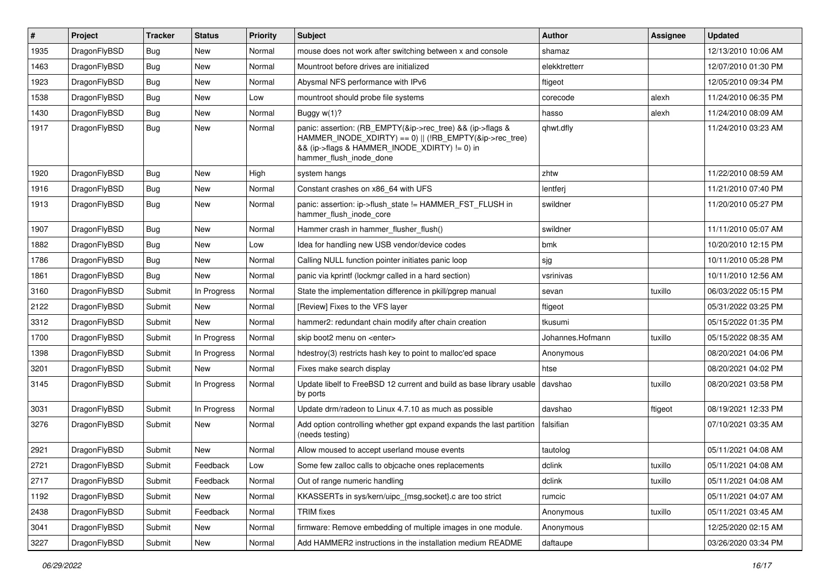| #    | Project      | <b>Tracker</b> | <b>Status</b> | <b>Priority</b> | <b>Subject</b>                                                                                                                                                                                    | Author           | Assignee | <b>Updated</b>      |
|------|--------------|----------------|---------------|-----------------|---------------------------------------------------------------------------------------------------------------------------------------------------------------------------------------------------|------------------|----------|---------------------|
| 1935 | DragonFlyBSD | <b>Bug</b>     | <b>New</b>    | Normal          | mouse does not work after switching between x and console                                                                                                                                         | shamaz           |          | 12/13/2010 10:06 AM |
| 1463 | DragonFlyBSD | <b>Bug</b>     | <b>New</b>    | Normal          | Mountroot before drives are initialized                                                                                                                                                           | elekktretterr    |          | 12/07/2010 01:30 PM |
| 1923 | DragonFlyBSD | <b>Bug</b>     | <b>New</b>    | Normal          | Abysmal NFS performance with IPv6                                                                                                                                                                 | ftigeot          |          | 12/05/2010 09:34 PM |
| 1538 | DragonFlyBSD | Bug            | <b>New</b>    | Low             | mountroot should probe file systems                                                                                                                                                               | corecode         | alexh    | 11/24/2010 06:35 PM |
| 1430 | DragonFlyBSD | <b>Bug</b>     | <b>New</b>    | Normal          | Buggy w(1)?                                                                                                                                                                                       | hasso            | alexh    | 11/24/2010 08:09 AM |
| 1917 | DragonFlyBSD | Bug            | New           | Normal          | panic: assertion: (RB_EMPTY(&ip->rec_tree) && (ip->flags &<br>HAMMER_INODE_XDIRTY) == 0)    (!RB_EMPTY(&ip->rec_tree)<br>&& (ip->flags & HAMMER_INODE_XDIRTY) != 0) in<br>hammer flush inode done | qhwt.dfly        |          | 11/24/2010 03:23 AM |
| 1920 | DragonFlyBSD | Bug            | <b>New</b>    | High            | system hangs                                                                                                                                                                                      | zhtw             |          | 11/22/2010 08:59 AM |
| 1916 | DragonFlyBSD | <b>Bug</b>     | <b>New</b>    | Normal          | Constant crashes on x86 64 with UFS                                                                                                                                                               | lentferj         |          | 11/21/2010 07:40 PM |
| 1913 | DragonFlyBSD | Bug            | <b>New</b>    | Normal          | panic: assertion: ip->flush_state != HAMMER_FST_FLUSH in<br>hammer flush inode core                                                                                                               | swildner         |          | 11/20/2010 05:27 PM |
| 1907 | DragonFlyBSD | <b>Bug</b>     | <b>New</b>    | Normal          | Hammer crash in hammer_flusher_flush()                                                                                                                                                            | swildner         |          | 11/11/2010 05:07 AM |
| 1882 | DragonFlyBSD | Bug            | <b>New</b>    | Low             | Idea for handling new USB vendor/device codes                                                                                                                                                     | bmk              |          | 10/20/2010 12:15 PM |
| 1786 | DragonFlyBSD | <b>Bug</b>     | <b>New</b>    | Normal          | Calling NULL function pointer initiates panic loop                                                                                                                                                | sjg              |          | 10/11/2010 05:28 PM |
| 1861 | DragonFlyBSD | Bug            | <b>New</b>    | Normal          | panic via kprintf (lockmgr called in a hard section)                                                                                                                                              | vsrinivas        |          | 10/11/2010 12:56 AM |
| 3160 | DragonFlyBSD | Submit         | In Progress   | Normal          | State the implementation difference in pkill/pgrep manual                                                                                                                                         | sevan            | tuxillo  | 06/03/2022 05:15 PM |
| 2122 | DragonFlyBSD | Submit         | <b>New</b>    | Normal          | [Review] Fixes to the VFS layer                                                                                                                                                                   | ftigeot          |          | 05/31/2022 03:25 PM |
| 3312 | DragonFlyBSD | Submit         | New           | Normal          | hammer2: redundant chain modify after chain creation                                                                                                                                              | tkusumi          |          | 05/15/2022 01:35 PM |
| 1700 | DragonFlyBSD | Submit         | In Progress   | Normal          | skip boot2 menu on <enter></enter>                                                                                                                                                                | Johannes.Hofmann | tuxillo  | 05/15/2022 08:35 AM |
| 1398 | DragonFlyBSD | Submit         | In Progress   | Normal          | hdestroy(3) restricts hash key to point to malloc'ed space                                                                                                                                        | Anonymous        |          | 08/20/2021 04:06 PM |
| 3201 | DragonFlyBSD | Submit         | <b>New</b>    | Normal          | Fixes make search display                                                                                                                                                                         | htse             |          | 08/20/2021 04:02 PM |
| 3145 | DragonFlyBSD | Submit         | In Progress   | Normal          | Update libelf to FreeBSD 12 current and build as base library usable<br>by ports                                                                                                                  | davshao          | tuxillo  | 08/20/2021 03:58 PM |
| 3031 | DragonFlyBSD | Submit         | In Progress   | Normal          | Update drm/radeon to Linux 4.7.10 as much as possible                                                                                                                                             | davshao          | ftigeot  | 08/19/2021 12:33 PM |
| 3276 | DragonFlyBSD | Submit         | New           | Normal          | Add option controlling whether gpt expand expands the last partition<br>(needs testing)                                                                                                           | falsifian        |          | 07/10/2021 03:35 AM |
| 2921 | DragonFlyBSD | Submit         | <b>New</b>    | Normal          | Allow moused to accept userland mouse events                                                                                                                                                      | tautolog         |          | 05/11/2021 04:08 AM |
| 2721 | DragonFlyBSD | Submit         | Feedback      | Low             | Some few zalloc calls to objcache ones replacements                                                                                                                                               | dclink           | tuxillo  | 05/11/2021 04:08 AM |
| 2717 | DragonFlyBSD | Submit         | Feedback      | Normal          | Out of range numeric handling                                                                                                                                                                     | dclink           | tuxillo  | 05/11/2021 04:08 AM |
| 1192 | DragonFlyBSD | Submit         | New           | Normal          | KKASSERTs in sys/kern/uipc {msg,socket}.c are too strict                                                                                                                                          | rumcic           |          | 05/11/2021 04:07 AM |
| 2438 | DragonFlyBSD | Submit         | Feedback      | Normal          | <b>TRIM</b> fixes                                                                                                                                                                                 | Anonymous        | tuxillo  | 05/11/2021 03:45 AM |
| 3041 | DragonFlyBSD | Submit         | New           | Normal          | firmware: Remove embedding of multiple images in one module.                                                                                                                                      | Anonymous        |          | 12/25/2020 02:15 AM |
| 3227 | DragonFlyBSD | Submit         | New           | Normal          | Add HAMMER2 instructions in the installation medium README                                                                                                                                        | daftaupe         |          | 03/26/2020 03:34 PM |